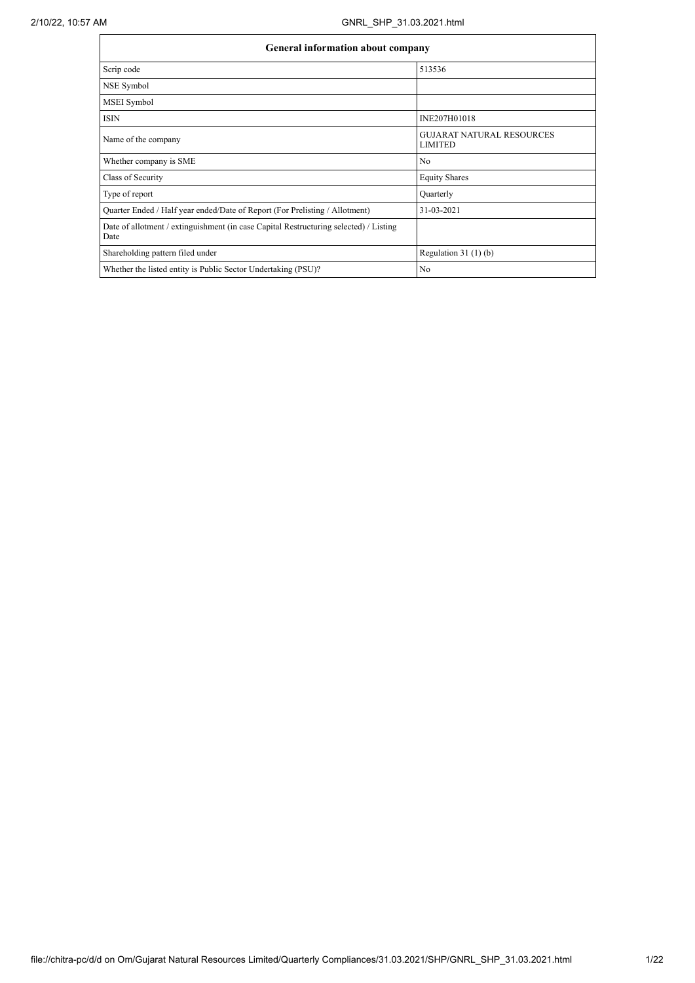| <b>General information about company</b>                                                      |                                                    |  |  |  |  |  |
|-----------------------------------------------------------------------------------------------|----------------------------------------------------|--|--|--|--|--|
| Scrip code                                                                                    | 513536                                             |  |  |  |  |  |
| NSE Symbol                                                                                    |                                                    |  |  |  |  |  |
| <b>MSEI</b> Symbol                                                                            |                                                    |  |  |  |  |  |
| <b>ISIN</b>                                                                                   | INE207H01018                                       |  |  |  |  |  |
| Name of the company                                                                           | <b>GUJARAT NATURAL RESOURCES</b><br><b>LIMITED</b> |  |  |  |  |  |
| Whether company is SME                                                                        | N <sub>0</sub>                                     |  |  |  |  |  |
| Class of Security                                                                             | <b>Equity Shares</b>                               |  |  |  |  |  |
| Type of report                                                                                | Quarterly                                          |  |  |  |  |  |
| Quarter Ended / Half year ended/Date of Report (For Prelisting / Allotment)                   | 31-03-2021                                         |  |  |  |  |  |
| Date of allotment / extinguishment (in case Capital Restructuring selected) / Listing<br>Date |                                                    |  |  |  |  |  |
| Shareholding pattern filed under                                                              | Regulation $31(1)(b)$                              |  |  |  |  |  |
| Whether the listed entity is Public Sector Undertaking (PSU)?                                 | N <sub>0</sub>                                     |  |  |  |  |  |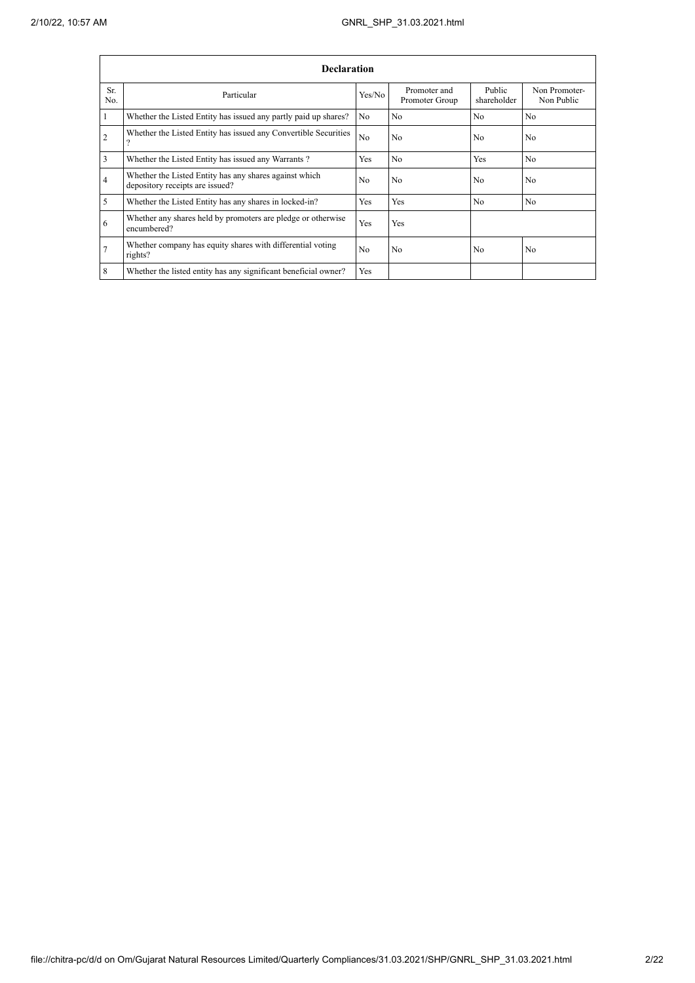|                | <b>Declaration</b>                                                                        |                |                                |                       |                             |  |  |
|----------------|-------------------------------------------------------------------------------------------|----------------|--------------------------------|-----------------------|-----------------------------|--|--|
| Sr.<br>No.     | Particular                                                                                | Yes/No         | Promoter and<br>Promoter Group | Public<br>shareholder | Non Promoter-<br>Non Public |  |  |
|                | Whether the Listed Entity has issued any partly paid up shares?                           | N <sub>0</sub> | N <sub>0</sub>                 | N <sub>0</sub>        | N <sub>0</sub>              |  |  |
| $\overline{c}$ | Whether the Listed Entity has issued any Convertible Securities<br>$\gamma$               | N <sub>0</sub> | N <sub>0</sub>                 | N <sub>0</sub>        | N <sub>0</sub>              |  |  |
| 3              | Whether the Listed Entity has issued any Warrants?                                        | Yes            | N <sub>0</sub>                 | Yes                   | N <sub>0</sub>              |  |  |
| 4              | Whether the Listed Entity has any shares against which<br>depository receipts are issued? | No             | N <sub>0</sub>                 | N <sub>0</sub>        | N <sub>0</sub>              |  |  |
| 5              | Whether the Listed Entity has any shares in locked-in?                                    | Yes            | Yes                            | No                    | N <sub>0</sub>              |  |  |
| 6              | Whether any shares held by promoters are pledge or otherwise<br>encumbered?               | Yes            | Yes                            |                       |                             |  |  |
| 7              | Whether company has equity shares with differential voting<br>rights?                     | No             | N <sub>0</sub>                 | N <sub>0</sub>        | N <sub>0</sub>              |  |  |
| 8              | Whether the listed entity has any significant beneficial owner?                           | Yes            |                                |                       |                             |  |  |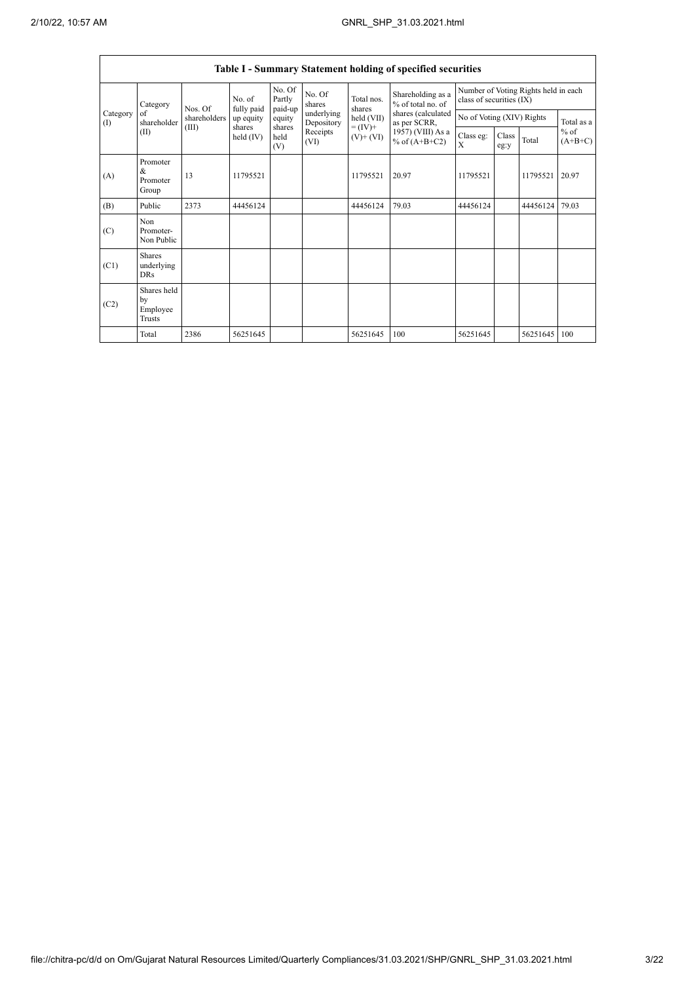$\mathbf{r}$ 

 $\overline{\phantom{0}}$ 

|                                        | Table I - Summary Statement holding of specified securities |              |                       |                             |                  |                                                                                                                    |                                                                                                                      |                                                                  |               |          |                     |  |
|----------------------------------------|-------------------------------------------------------------|--------------|-----------------------|-----------------------------|------------------|--------------------------------------------------------------------------------------------------------------------|----------------------------------------------------------------------------------------------------------------------|------------------------------------------------------------------|---------------|----------|---------------------|--|
|                                        | Category                                                    | Nos. Of      | No. of<br>fully paid  | No. Of<br>Partly<br>paid-up | No. Of<br>shares | Total nos.<br>shares<br>underlying<br>held (VII)<br>Depository<br>$= (IV) +$<br>Receipts<br>$(V)$ + $(VI)$<br>(VI) | Shareholding as a<br>% of total no. of<br>shares (calculated<br>as per SCRR,<br>1957) (VIII) As a<br>% of $(A+B+C2)$ | Number of Voting Rights held in each<br>class of securities (IX) |               |          |                     |  |
| Category<br>of<br>$($ $\Gamma$<br>(II) | shareholder                                                 | shareholders | up equity             | equity                      |                  |                                                                                                                    |                                                                                                                      | No of Voting (XIV) Rights                                        |               |          | Total as a          |  |
|                                        |                                                             | (III)        | shares<br>held $(IV)$ | shares<br>held<br>(V)       |                  |                                                                                                                    |                                                                                                                      | Class eg:<br>X                                                   | Class<br>eg:y | Total    | $%$ of<br>$(A+B+C)$ |  |
| (A)                                    | Promoter<br>&<br>Promoter<br>Group                          | 13           | 11795521              |                             |                  | 11795521                                                                                                           | 20.97                                                                                                                | 11795521                                                         |               | 11795521 | 20.97               |  |
| (B)                                    | Public                                                      | 2373         | 44456124              |                             |                  | 44456124                                                                                                           | 79.03                                                                                                                | 44456124                                                         |               | 44456124 | 79.03               |  |
| (C)                                    | Non<br>Promoter-<br>Non Public                              |              |                       |                             |                  |                                                                                                                    |                                                                                                                      |                                                                  |               |          |                     |  |
| (C1)                                   | <b>Shares</b><br>underlying<br><b>DRs</b>                   |              |                       |                             |                  |                                                                                                                    |                                                                                                                      |                                                                  |               |          |                     |  |
| (C2)                                   | Shares held<br>by<br>Employee<br>Trusts                     |              |                       |                             |                  |                                                                                                                    |                                                                                                                      |                                                                  |               |          |                     |  |
|                                        | Total                                                       | 2386         | 56251645              |                             |                  | 56251645                                                                                                           | 100                                                                                                                  | 56251645                                                         |               | 56251645 | 100                 |  |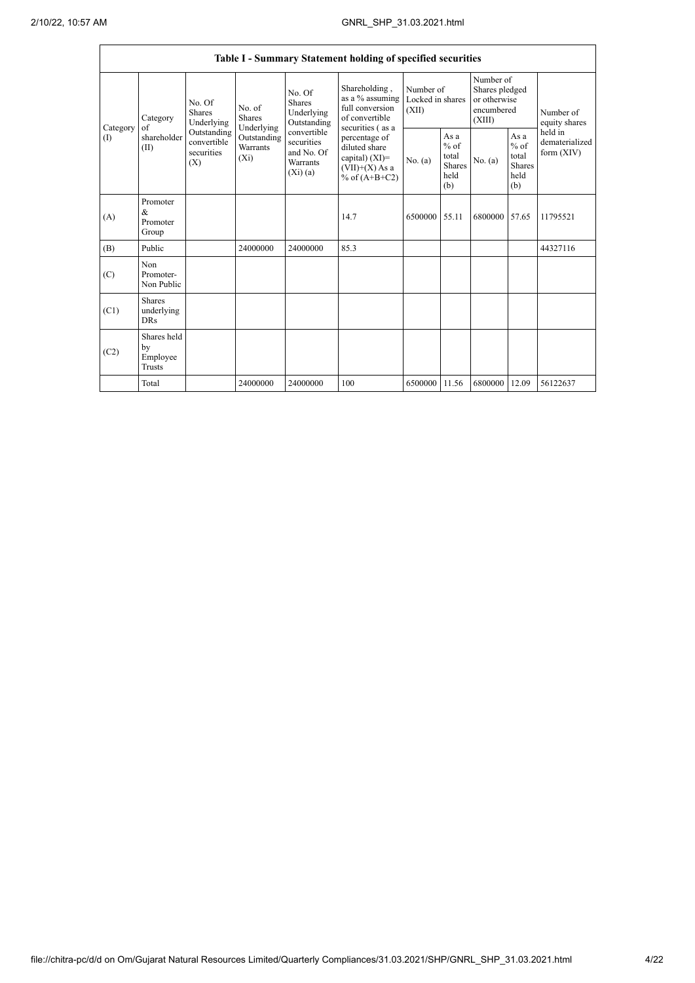|                 |                                           |                                                                                          |                                                                             |                                                                                                                        | Table I - Summary Statement holding of specified securities                                                                                                                             |                                        |                                                         |                                                                     |                                                         |                                           |
|-----------------|-------------------------------------------|------------------------------------------------------------------------------------------|-----------------------------------------------------------------------------|------------------------------------------------------------------------------------------------------------------------|-----------------------------------------------------------------------------------------------------------------------------------------------------------------------------------------|----------------------------------------|---------------------------------------------------------|---------------------------------------------------------------------|---------------------------------------------------------|-------------------------------------------|
| Category<br>(I) | Category<br>of<br>shareholder<br>(II)     | No. Of<br><b>Shares</b><br>Underlying<br>Outstanding<br>convertible<br>securities<br>(X) | No. of<br><b>Shares</b><br>Underlying<br>Outstanding<br>Warrants<br>$(X_i)$ | No. Of<br><b>Shares</b><br>Underlying<br>Outstanding<br>convertible<br>securities<br>and No. Of<br>Warrants<br>(Xi)(a) | Shareholding,<br>as a % assuming<br>full conversion<br>of convertible<br>securities (as a<br>percentage of<br>diluted share<br>capital) $(XI)$ =<br>$(VII)+(X)$ As a<br>% of $(A+B+C2)$ | Number of<br>Locked in shares<br>(XII) |                                                         | Number of<br>Shares pledged<br>or otherwise<br>encumbered<br>(XIII) |                                                         | Number of<br>equity shares                |
|                 |                                           |                                                                                          |                                                                             |                                                                                                                        |                                                                                                                                                                                         | No. $(a)$                              | As a<br>$%$ of<br>total<br><b>Shares</b><br>held<br>(b) | No. $(a)$                                                           | As a<br>$%$ of<br>total<br><b>Shares</b><br>held<br>(b) | held in<br>dematerialized<br>form $(XIV)$ |
| (A)             | Promoter<br>&<br>Promoter<br>Group        |                                                                                          |                                                                             |                                                                                                                        | 14.7                                                                                                                                                                                    | 6500000                                | 55.11                                                   | 6800000                                                             | 57.65                                                   | 11795521                                  |
| (B)             | Public                                    |                                                                                          | 24000000                                                                    | 24000000                                                                                                               | 85.3                                                                                                                                                                                    |                                        |                                                         |                                                                     |                                                         | 44327116                                  |
| (C)             | Non<br>Promoter-<br>Non Public            |                                                                                          |                                                                             |                                                                                                                        |                                                                                                                                                                                         |                                        |                                                         |                                                                     |                                                         |                                           |
| (C1)            | <b>Shares</b><br>underlying<br><b>DRs</b> |                                                                                          |                                                                             |                                                                                                                        |                                                                                                                                                                                         |                                        |                                                         |                                                                     |                                                         |                                           |
| (C2)            | Shares held<br>by<br>Employee<br>Trusts   |                                                                                          |                                                                             |                                                                                                                        |                                                                                                                                                                                         |                                        |                                                         |                                                                     |                                                         |                                           |
|                 | Total                                     |                                                                                          | 24000000                                                                    | 24000000                                                                                                               | 100                                                                                                                                                                                     | 6500000                                | 11.56                                                   | 6800000                                                             | 12.09                                                   | 56122637                                  |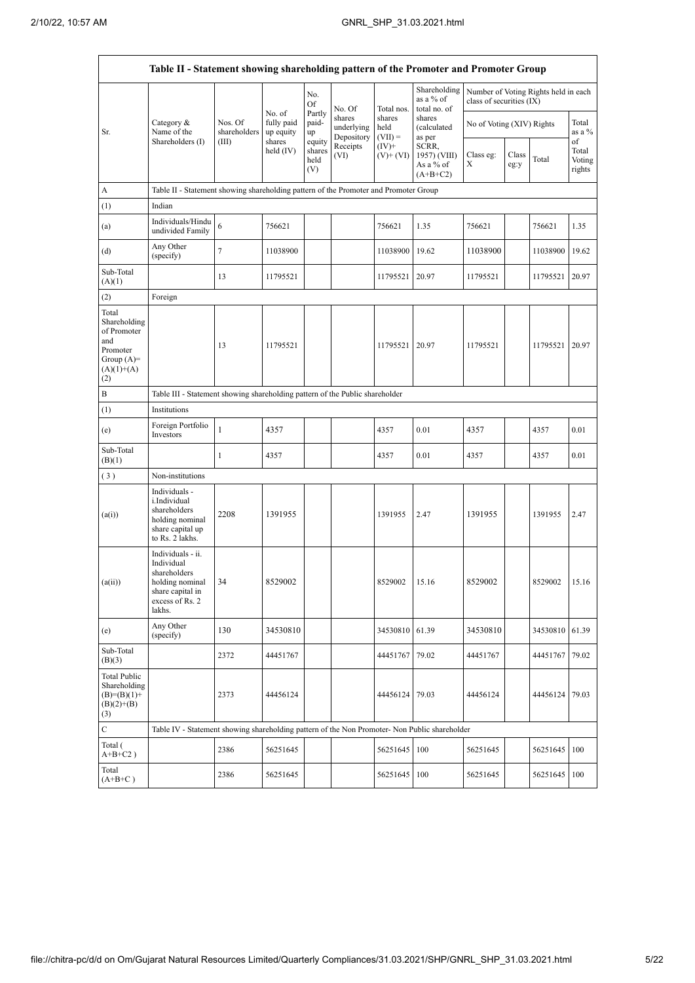Ĭ

|                                                                                                | Table II - Statement showing shareholding pattern of the Promoter and Promoter Group                                |                                                                              |                                   |                                 |                                    |                             |                                                  |                                                                  |               |          |                                 |
|------------------------------------------------------------------------------------------------|---------------------------------------------------------------------------------------------------------------------|------------------------------------------------------------------------------|-----------------------------------|---------------------------------|------------------------------------|-----------------------------|--------------------------------------------------|------------------------------------------------------------------|---------------|----------|---------------------------------|
|                                                                                                |                                                                                                                     |                                                                              |                                   | No.<br>Of                       | No. Of                             | Total nos.                  | Shareholding<br>as a % of<br>total no. of        | Number of Voting Rights held in each<br>class of securities (IX) |               |          |                                 |
| Sr.                                                                                            | Category $\&$<br>Name of the<br>Shareholders (I)                                                                    | Nos. Of<br>shareholders                                                      | No. of<br>fully paid<br>up equity | Partly<br>paid-<br>up           | shares<br>underlying<br>Depository | shares<br>held<br>$(VII) =$ | shares<br>(calculated<br>as per                  | No of Voting (XIV) Rights                                        |               |          | Total<br>as a %                 |
|                                                                                                |                                                                                                                     | (III)                                                                        | shares<br>held $(IV)$             | equity<br>shares<br>held<br>(V) | Receipts<br>(VI)                   | $(IV)+$<br>$(V)$ + $(VI)$   | SCRR,<br>1957) (VIII)<br>As a % of<br>$(A+B+C2)$ | Class eg:<br>Χ                                                   | Class<br>eg:y | Total    | of<br>Total<br>Voting<br>rights |
| A                                                                                              | Table II - Statement showing shareholding pattern of the Promoter and Promoter Group                                |                                                                              |                                   |                                 |                                    |                             |                                                  |                                                                  |               |          |                                 |
| (1)                                                                                            | Indian                                                                                                              |                                                                              |                                   |                                 |                                    |                             |                                                  |                                                                  |               |          |                                 |
| (a)                                                                                            | Individuals/Hindu<br>undivided Family                                                                               | 6                                                                            | 756621                            |                                 |                                    | 756621                      | 1.35                                             | 756621                                                           |               | 756621   | 1.35                            |
| (d)                                                                                            | Any Other<br>(specify)                                                                                              | $\tau$                                                                       | 11038900                          |                                 |                                    | 11038900                    | 19.62                                            | 11038900                                                         |               | 11038900 | 19.62                           |
| Sub-Total<br>(A)(1)                                                                            |                                                                                                                     | 13                                                                           | 11795521                          |                                 |                                    | 11795521                    | 20.97                                            | 11795521                                                         |               | 11795521 | 20.97                           |
| (2)                                                                                            | Foreign                                                                                                             |                                                                              |                                   |                                 |                                    |                             |                                                  |                                                                  |               |          |                                 |
| Total<br>Shareholding<br>of Promoter<br>and<br>Promoter<br>Group $(A)=$<br>$(A)(1)+(A)$<br>(2) |                                                                                                                     | 13                                                                           | 11795521                          |                                 |                                    | 11795521                    | 20.97                                            | 11795521                                                         |               | 11795521 | 20.97                           |
| B                                                                                              |                                                                                                                     | Table III - Statement showing shareholding pattern of the Public shareholder |                                   |                                 |                                    |                             |                                                  |                                                                  |               |          |                                 |
| (1)                                                                                            | Institutions                                                                                                        |                                                                              |                                   |                                 |                                    |                             |                                                  |                                                                  |               |          |                                 |
| (e)                                                                                            | Foreign Portfolio<br>Investors                                                                                      | 1                                                                            | 4357                              |                                 |                                    | 4357                        | 0.01                                             | 4357                                                             |               | 4357     | 0.01                            |
| Sub-Total<br>(B)(1)                                                                            |                                                                                                                     | 1                                                                            | 4357                              |                                 |                                    | 4357                        | 0.01                                             | 4357                                                             |               | 4357     | 0.01                            |
| (3)                                                                                            | Non-institutions                                                                                                    |                                                                              |                                   |                                 |                                    |                             |                                                  |                                                                  |               |          |                                 |
| (a(i))                                                                                         | Individuals -<br>i.Individual<br>shareholders<br>holding nominal<br>share capital up<br>to Rs. 2 lakhs.             | 2208                                                                         | 1391955                           |                                 |                                    | 1391955                     | 2.47                                             | 1391955                                                          |               | 1391955  | 2.47                            |
| (a(ii))                                                                                        | Individuals - ii.<br>Individual<br>shareholders<br>holding nominal<br>share capital in<br>excess of Rs. 2<br>lakhs. | 34                                                                           | 8529002                           |                                 |                                    | 8529002                     | 15.16                                            | 8529002                                                          |               | 8529002  | 15.16                           |
| (e)                                                                                            | Any Other<br>(specify)                                                                                              | 130                                                                          | 34530810                          |                                 |                                    | 34530810 61.39              |                                                  | 34530810                                                         |               | 34530810 | 61.39                           |
| Sub-Total<br>(B)(3)                                                                            |                                                                                                                     | 2372                                                                         | 44451767                          |                                 |                                    | 44451767                    | 79.02                                            | 44451767                                                         |               | 44451767 | 79.02                           |
| <b>Total Public</b><br>Shareholding<br>$(B)=(B)(1)+$<br>$(B)(2)+(B)$<br>(3)                    |                                                                                                                     | 2373                                                                         | 44456124                          |                                 |                                    | 44456124                    | 79.03                                            | 44456124                                                         |               | 44456124 | 79.03                           |
| $\mathbf C$                                                                                    | Table IV - Statement showing shareholding pattern of the Non Promoter- Non Public shareholder                       |                                                                              |                                   |                                 |                                    |                             |                                                  |                                                                  |               |          |                                 |
| Total (<br>$A+B+C2$ )                                                                          |                                                                                                                     | 2386                                                                         | 56251645                          |                                 |                                    | 56251645                    | 100                                              | 56251645                                                         |               | 56251645 | 100                             |
| Total<br>$(A+B+C)$                                                                             |                                                                                                                     | 2386                                                                         | 56251645                          |                                 |                                    | 56251645 100                |                                                  | 56251645                                                         |               | 56251645 | 100                             |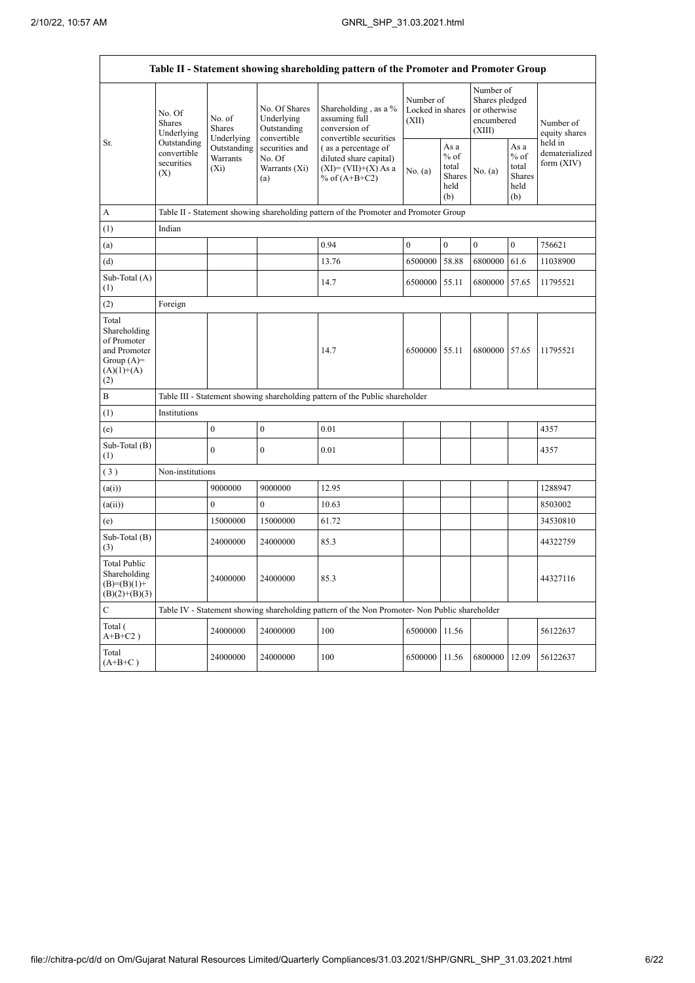$\mathsf{r}$ 

٦

|                                                                                             |                                                                                          |                                                                                      |                                                           | Table II - Statement showing shareholding pattern of the Promoter and Promoter Group          |                                        |                                                         |                                                                     |                                                         |                                           |  |
|---------------------------------------------------------------------------------------------|------------------------------------------------------------------------------------------|--------------------------------------------------------------------------------------|-----------------------------------------------------------|-----------------------------------------------------------------------------------------------|----------------------------------------|---------------------------------------------------------|---------------------------------------------------------------------|---------------------------------------------------------|-------------------------------------------|--|
| Sr.                                                                                         | No. Of<br><b>Shares</b><br>Underlying<br>Outstanding<br>convertible<br>securities<br>(X) | No. of<br>Shares<br>Underlying                                                       | No. Of Shares<br>Underlying<br>Outstanding<br>convertible | Shareholding, as a %<br>assuming full<br>conversion of<br>convertible securities              | Number of<br>Locked in shares<br>(XII) |                                                         | Number of<br>Shares pledged<br>or otherwise<br>encumbered<br>(XIII) |                                                         | Number of<br>equity shares                |  |
|                                                                                             |                                                                                          | Outstanding<br>Warrants<br>$(X_i)$                                                   | securities and<br>No. Of<br>Warrants (Xi)<br>(a)          | (as a percentage of<br>diluted share capital)<br>$(XI)=(VII)+(X) As a$<br>% of $(A+B+C2)$     | No. (a)                                | As a<br>$%$ of<br>total<br><b>Shares</b><br>held<br>(b) | No. (a)                                                             | As a<br>$%$ of<br>total<br><b>Shares</b><br>held<br>(b) | held in<br>dematerialized<br>form $(XIV)$ |  |
| A                                                                                           |                                                                                          | Table II - Statement showing shareholding pattern of the Promoter and Promoter Group |                                                           |                                                                                               |                                        |                                                         |                                                                     |                                                         |                                           |  |
| (1)                                                                                         | Indian                                                                                   |                                                                                      |                                                           |                                                                                               |                                        |                                                         |                                                                     |                                                         |                                           |  |
| (a)                                                                                         |                                                                                          |                                                                                      |                                                           | 0.94                                                                                          | $\mathbf{0}$                           | $\mathbf{0}$                                            | $\mathbf{0}$                                                        | $\mathbf{0}$                                            | 756621                                    |  |
| (d)                                                                                         |                                                                                          |                                                                                      |                                                           | 13.76                                                                                         | 6500000                                | 58.88                                                   | 6800000                                                             | 61.6                                                    | 11038900                                  |  |
| Sub-Total (A)<br>(1)                                                                        |                                                                                          |                                                                                      |                                                           | 14.7                                                                                          | 6500000                                | 55.11                                                   | 6800000                                                             | 57.65                                                   | 11795521                                  |  |
| (2)                                                                                         | Foreign                                                                                  |                                                                                      |                                                           |                                                                                               |                                        |                                                         |                                                                     |                                                         |                                           |  |
| Total<br>Shareholding<br>of Promoter<br>and Promoter<br>Group $(A)=$<br>$(A)(1)+(A)$<br>(2) |                                                                                          |                                                                                      |                                                           | 14.7                                                                                          | 6500000 55.11                          |                                                         | 6800000                                                             | 57.65                                                   | 11795521                                  |  |
| B                                                                                           |                                                                                          |                                                                                      |                                                           | Table III - Statement showing shareholding pattern of the Public shareholder                  |                                        |                                                         |                                                                     |                                                         |                                           |  |
| (1)                                                                                         | Institutions                                                                             |                                                                                      |                                                           |                                                                                               |                                        |                                                         |                                                                     |                                                         |                                           |  |
| (e)                                                                                         |                                                                                          | $\boldsymbol{0}$                                                                     | $\mathbf{0}$                                              | 0.01                                                                                          |                                        |                                                         |                                                                     |                                                         | 4357                                      |  |
| Sub-Total (B)<br>(1)                                                                        |                                                                                          | $\theta$                                                                             | $\mathbf{0}$                                              | 0.01                                                                                          |                                        |                                                         |                                                                     |                                                         | 4357                                      |  |
| (3)                                                                                         | Non-institutions                                                                         |                                                                                      |                                                           |                                                                                               |                                        |                                                         |                                                                     |                                                         |                                           |  |
| (a(i))                                                                                      |                                                                                          | 9000000                                                                              | 9000000                                                   | 12.95                                                                                         |                                        |                                                         |                                                                     |                                                         | 1288947                                   |  |
| (a(ii))                                                                                     |                                                                                          | $\overline{0}$                                                                       | $\mathbf{0}$                                              | 10.63                                                                                         |                                        |                                                         |                                                                     |                                                         | 8503002                                   |  |
| (e)                                                                                         |                                                                                          | 15000000                                                                             | 15000000                                                  | 61.72                                                                                         |                                        |                                                         |                                                                     |                                                         | 34530810                                  |  |
| Sub-Total (B)<br>(3)                                                                        |                                                                                          | 24000000                                                                             | 24000000                                                  | 85.3                                                                                          |                                        |                                                         |                                                                     |                                                         | 44322759                                  |  |
| <b>Total Public</b><br>Shareholding<br>$(B)=(B)(1)+$<br>$(B)(2)+(B)(3)$                     |                                                                                          | 24000000                                                                             | 24000000                                                  | 85.3                                                                                          |                                        |                                                         |                                                                     |                                                         | 44327116                                  |  |
| $\mathsf{C}$                                                                                |                                                                                          |                                                                                      |                                                           | Table IV - Statement showing shareholding pattern of the Non Promoter- Non Public shareholder |                                        |                                                         |                                                                     |                                                         |                                           |  |
| Total (<br>$A+B+C2$ )                                                                       |                                                                                          | 24000000                                                                             | 24000000                                                  | 100                                                                                           | 6500000                                | 11.56                                                   |                                                                     |                                                         | 56122637                                  |  |
| Total<br>$(A+B+C)$                                                                          |                                                                                          | 24000000                                                                             | 24000000                                                  | 100                                                                                           | 6500000                                | 11.56                                                   | 6800000                                                             | 12.09                                                   | 56122637                                  |  |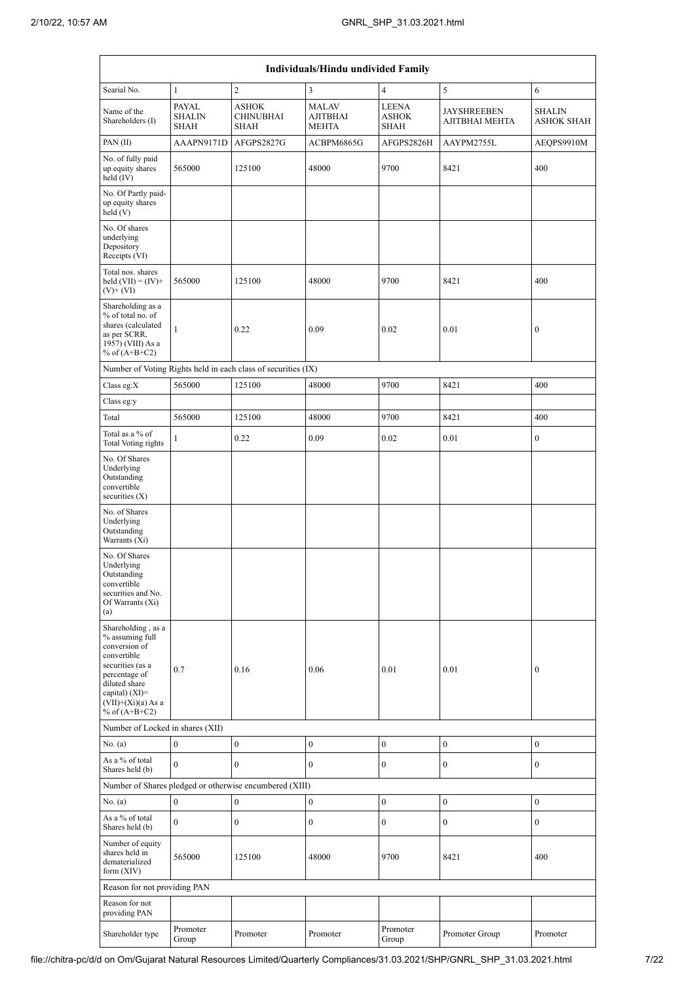| Individuals/Hindu undivided Family                                                                                                                                                         |                                              |                                                               |                                                 |                                             |                                      |                                    |  |
|--------------------------------------------------------------------------------------------------------------------------------------------------------------------------------------------|----------------------------------------------|---------------------------------------------------------------|-------------------------------------------------|---------------------------------------------|--------------------------------------|------------------------------------|--|
| Searial No.                                                                                                                                                                                | $\mathbf{1}$                                 | $\sqrt{2}$                                                    | 3                                               | $\overline{4}$                              | 5                                    | 6                                  |  |
| Name of the<br>Shareholders (I)                                                                                                                                                            | <b>PAYAL</b><br><b>SHALIN</b><br><b>SHAH</b> | <b>ASHOK</b><br><b>CHINUBHAI</b><br><b>SHAH</b>               | <b>MALAV</b><br><b>AJITBHAI</b><br><b>MEHTA</b> | <b>LEENA</b><br><b>ASHOK</b><br><b>SHAH</b> | <b>JAYSHREEBEN</b><br>AJITBHAI MEHTA | <b>SHALIN</b><br><b>ASHOK SHAH</b> |  |
| PAN(II)                                                                                                                                                                                    | AAAPN9171D                                   | AFGPS2827G                                                    | ACBPM6865G                                      | AFGPS2826H                                  | AAYPM2755L                           | AEQPS9910M                         |  |
| No. of fully paid<br>up equity shares<br>held $(IV)$                                                                                                                                       | 565000                                       | 125100                                                        | 48000                                           | 9700                                        | 8421                                 | 400                                |  |
| No. Of Partly paid-<br>up equity shares<br>held (V)                                                                                                                                        |                                              |                                                               |                                                 |                                             |                                      |                                    |  |
| No. Of shares<br>underlying<br>Depository<br>Receipts (VI)                                                                                                                                 |                                              |                                                               |                                                 |                                             |                                      |                                    |  |
| Total nos. shares<br>held $(VII) = (IV) +$<br>$(V)$ + $(VI)$                                                                                                                               | 565000                                       | 125100                                                        | 48000                                           | 9700                                        | 8421                                 | 400                                |  |
| Shareholding as a<br>% of total no. of<br>shares (calculated<br>as per SCRR,<br>1957) (VIII) As a<br>% of $(A+B+C2)$                                                                       | $\mathbf{1}$                                 | 0.22                                                          | 0.09                                            | 0.02                                        | 0.01                                 | $\boldsymbol{0}$                   |  |
|                                                                                                                                                                                            |                                              | Number of Voting Rights held in each class of securities (IX) |                                                 |                                             |                                      |                                    |  |
| Class eg:X                                                                                                                                                                                 | 565000                                       | 125100                                                        | 48000                                           | 9700                                        | 8421                                 | 400                                |  |
| Class eg:y                                                                                                                                                                                 |                                              |                                                               |                                                 |                                             |                                      |                                    |  |
| Total                                                                                                                                                                                      | 565000                                       | 125100                                                        | 48000                                           | 9700                                        | 8421                                 | 400                                |  |
| Total as a % of<br>Total Voting rights                                                                                                                                                     | 1                                            | 0.22                                                          | 0.09                                            | 0.02                                        | 0.01                                 | $\boldsymbol{0}$                   |  |
| No. Of Shares<br>Underlying<br>Outstanding<br>convertible<br>securities $(X)$                                                                                                              |                                              |                                                               |                                                 |                                             |                                      |                                    |  |
| No. of Shares<br>Underlying<br>Outstanding<br>Warrants (Xi)                                                                                                                                |                                              |                                                               |                                                 |                                             |                                      |                                    |  |
| No. Of Shares<br>Underlying<br>Outstanding<br>convertible<br>securities and No.<br>Of Warrants (Xi)<br>(a)                                                                                 |                                              |                                                               |                                                 |                                             |                                      |                                    |  |
| Shareholding, as a<br>% assuming full<br>conversion of<br>convertible<br>securities (as a<br>percentage of<br>diluted share<br>capital) $(XI)=$<br>$(VII)+(Xi)(a) As a$<br>% of $(A+B+C2)$ | 0.7                                          | 0.16                                                          | 0.06                                            | 0.01                                        | 0.01                                 | $\mathbf{0}$                       |  |
| Number of Locked in shares (XII)                                                                                                                                                           |                                              |                                                               |                                                 |                                             |                                      |                                    |  |
| No. (a)                                                                                                                                                                                    | $\boldsymbol{0}$                             | $\boldsymbol{0}$                                              | $\boldsymbol{0}$                                | $\boldsymbol{0}$                            | $\boldsymbol{0}$                     | $\boldsymbol{0}$                   |  |
| As a % of total<br>Shares held (b)                                                                                                                                                         | $\mathbf{0}$                                 | $\mathbf{0}$                                                  | $\mathbf{0}$                                    | $\boldsymbol{0}$                            | $\mathbf{0}$                         | $\mathbf{0}$                       |  |
|                                                                                                                                                                                            |                                              | Number of Shares pledged or otherwise encumbered (XIII)       |                                                 |                                             |                                      |                                    |  |
| No. $(a)$                                                                                                                                                                                  | $\boldsymbol{0}$                             | $\mathbf{0}$                                                  | $\boldsymbol{0}$                                | $\boldsymbol{0}$                            | $\boldsymbol{0}$                     | $\mathbf{0}$                       |  |
| As a % of total<br>Shares held (b)                                                                                                                                                         | $\mathbf{0}$                                 | $\boldsymbol{0}$                                              | $\mathbf{0}$                                    | $\boldsymbol{0}$                            | $\boldsymbol{0}$                     | $\mathbf{0}$                       |  |
| Number of equity<br>shares held in<br>dematerialized<br>form $(XIV)$                                                                                                                       | 565000                                       | 125100                                                        | 48000                                           | 9700                                        | 8421                                 | 400                                |  |
| Reason for not providing PAN                                                                                                                                                               |                                              |                                                               |                                                 |                                             |                                      |                                    |  |
| Reason for not<br>providing PAN                                                                                                                                                            |                                              |                                                               |                                                 |                                             |                                      |                                    |  |
| Shareholder type                                                                                                                                                                           | Promoter<br>Group                            | Promoter                                                      | Promoter                                        | Promoter<br>Group                           | Promoter Group                       | Promoter                           |  |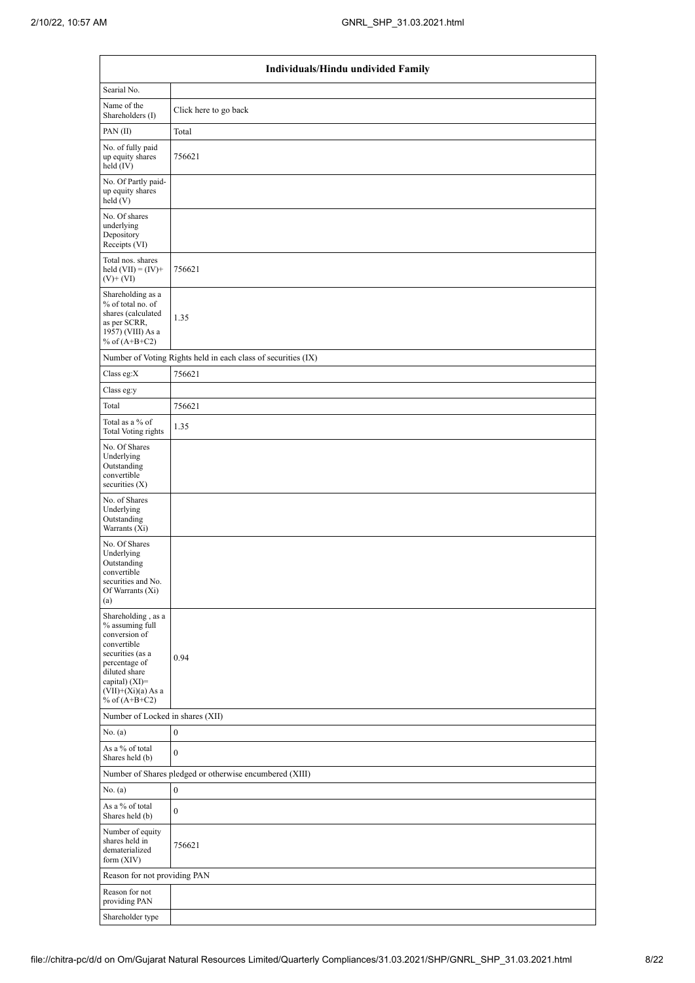| Individuals/Hindu undivided Family                                                                                                                                                         |                                                               |  |  |  |  |  |
|--------------------------------------------------------------------------------------------------------------------------------------------------------------------------------------------|---------------------------------------------------------------|--|--|--|--|--|
| Searial No.                                                                                                                                                                                |                                                               |  |  |  |  |  |
| Name of the<br>Shareholders (I)                                                                                                                                                            | Click here to go back                                         |  |  |  |  |  |
| PAN(II)                                                                                                                                                                                    | Total                                                         |  |  |  |  |  |
| No. of fully paid<br>up equity shares<br>held (IV)                                                                                                                                         | 756621                                                        |  |  |  |  |  |
| No. Of Partly paid-<br>up equity shares<br>held(V)                                                                                                                                         |                                                               |  |  |  |  |  |
| No. Of shares<br>underlying<br>Depository<br>Receipts (VI)                                                                                                                                 |                                                               |  |  |  |  |  |
| Total nos. shares<br>held $(VII) = (IV) +$<br>$(V)$ + $(VI)$                                                                                                                               | 756621                                                        |  |  |  |  |  |
| Shareholding as a<br>% of total no. of<br>shares (calculated<br>as per SCRR,<br>1957) (VIII) As a<br>% of $(A+B+C2)$                                                                       | 1.35                                                          |  |  |  |  |  |
|                                                                                                                                                                                            | Number of Voting Rights held in each class of securities (IX) |  |  |  |  |  |
| Class eg:X                                                                                                                                                                                 | 756621                                                        |  |  |  |  |  |
| Class eg:y                                                                                                                                                                                 |                                                               |  |  |  |  |  |
| Total                                                                                                                                                                                      | 756621                                                        |  |  |  |  |  |
| Total as a % of<br><b>Total Voting rights</b>                                                                                                                                              | 1.35                                                          |  |  |  |  |  |
| No. Of Shares<br>Underlying<br>Outstanding<br>convertible<br>securities (X)                                                                                                                |                                                               |  |  |  |  |  |
| No. of Shares<br>Underlying<br>Outstanding<br>Warrants (Xi)                                                                                                                                |                                                               |  |  |  |  |  |
| No. Of Shares<br>Underlying<br>Outstanding<br>convertible<br>securities and No.<br>Of Warrants (Xi)<br>(a)                                                                                 |                                                               |  |  |  |  |  |
| Shareholding, as a<br>% assuming full<br>conversion of<br>convertible<br>securities (as a<br>percentage of<br>diluted share<br>capital) $(XI)=$<br>$(VII)+(Xi)(a)$ As a<br>% of $(A+B+C2)$ | 0.94                                                          |  |  |  |  |  |
| Number of Locked in shares (XII)                                                                                                                                                           |                                                               |  |  |  |  |  |
| No. (a)                                                                                                                                                                                    | $\boldsymbol{0}$                                              |  |  |  |  |  |
| As a % of total<br>Shares held (b)                                                                                                                                                         | $\boldsymbol{0}$                                              |  |  |  |  |  |
|                                                                                                                                                                                            | Number of Shares pledged or otherwise encumbered (XIII)       |  |  |  |  |  |
| No. (a)<br>As a % of total<br>Shares held (b)                                                                                                                                              | $\bf{0}$<br>$\bf{0}$                                          |  |  |  |  |  |
| Number of equity<br>shares held in<br>dematerialized<br>form $(XIV)$                                                                                                                       | 756621                                                        |  |  |  |  |  |
| Reason for not providing PAN                                                                                                                                                               |                                                               |  |  |  |  |  |
| Reason for not<br>providing PAN                                                                                                                                                            |                                                               |  |  |  |  |  |
| Shareholder type                                                                                                                                                                           |                                                               |  |  |  |  |  |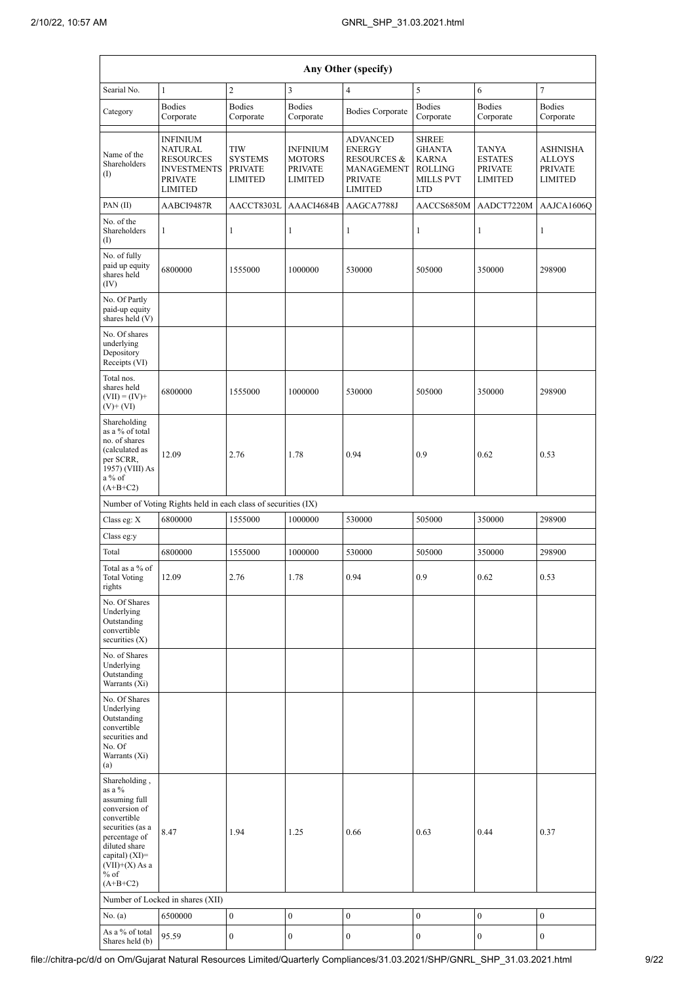| Any Other (specify)                                                                                                                                                                            |                                                                                                                 |                                                                  |                                                                      |                                                                                                                     |                                                                                                   |                                                             |                                                                      |
|------------------------------------------------------------------------------------------------------------------------------------------------------------------------------------------------|-----------------------------------------------------------------------------------------------------------------|------------------------------------------------------------------|----------------------------------------------------------------------|---------------------------------------------------------------------------------------------------------------------|---------------------------------------------------------------------------------------------------|-------------------------------------------------------------|----------------------------------------------------------------------|
| Searial No.                                                                                                                                                                                    | $\mathbf{1}$                                                                                                    | $\overline{c}$                                                   | $\mathfrak{Z}$                                                       | $\overline{4}$                                                                                                      | $\sqrt{5}$                                                                                        | 6                                                           | $\tau$                                                               |
| Category                                                                                                                                                                                       | <b>Bodies</b><br>Corporate                                                                                      | <b>Bodies</b><br>Corporate                                       | <b>Bodies</b><br>Corporate                                           | <b>Bodies Corporate</b>                                                                                             | <b>Bodies</b><br>Corporate                                                                        | <b>Bodies</b><br>Corporate                                  | <b>Bodies</b><br>Corporate                                           |
| Name of the<br>Shareholders<br>$\textcircled{1}$                                                                                                                                               | <b>INFINIUM</b><br><b>NATURAL</b><br><b>RESOURCES</b><br><b>INVESTMENTS</b><br><b>PRIVATE</b><br><b>LIMITED</b> | <b>TIW</b><br><b>SYSTEMS</b><br><b>PRIVATE</b><br><b>LIMITED</b> | <b>INFINIUM</b><br><b>MOTORS</b><br><b>PRIVATE</b><br><b>LIMITED</b> | <b>ADVANCED</b><br><b>ENERGY</b><br><b>RESOURCES &amp;</b><br><b>MANAGEMENT</b><br><b>PRIVATE</b><br><b>LIMITED</b> | <b>SHREE</b><br><b>GHANTA</b><br><b>KARNA</b><br><b>ROLLING</b><br><b>MILLS PVT</b><br><b>LTD</b> | TANYA<br><b>ESTATES</b><br><b>PRIVATE</b><br><b>LIMITED</b> | <b>ASHNISHA</b><br><b>ALLOYS</b><br><b>PRIVATE</b><br><b>LIMITED</b> |
| PAN(II)                                                                                                                                                                                        | AABCI9487R                                                                                                      | AACCT8303L                                                       | AAACI4684B                                                           | AAGCA7788J                                                                                                          | AACCS6850M                                                                                        | AADCT7220M                                                  | AAJCA1606Q                                                           |
| No. of the<br>Shareholders<br>(I)                                                                                                                                                              | $\mathbf{1}$                                                                                                    | 1                                                                | 1                                                                    | 1                                                                                                                   | 1                                                                                                 | 1                                                           | 1                                                                    |
| No. of fully<br>paid up equity<br>shares held<br>(IV)                                                                                                                                          | 6800000                                                                                                         | 1555000                                                          | 1000000                                                              | 530000                                                                                                              | 505000                                                                                            | 350000                                                      | 298900                                                               |
| No. Of Partly<br>paid-up equity<br>shares held (V)                                                                                                                                             |                                                                                                                 |                                                                  |                                                                      |                                                                                                                     |                                                                                                   |                                                             |                                                                      |
| No. Of shares<br>underlying<br>Depository<br>Receipts (VI)                                                                                                                                     |                                                                                                                 |                                                                  |                                                                      |                                                                                                                     |                                                                                                   |                                                             |                                                                      |
| Total nos.<br>shares held<br>$(VII) = (IV) +$<br>$(V)$ + $(VI)$                                                                                                                                | 6800000                                                                                                         | 1555000                                                          | 1000000                                                              | 530000                                                                                                              | 505000                                                                                            | 350000                                                      | 298900                                                               |
| Shareholding<br>as a % of total<br>no. of shares<br>(calculated as<br>per SCRR,<br>1957) (VIII) As<br>$a\%$ of<br>$(A+B+C2)$                                                                   | 12.09                                                                                                           | 2.76                                                             | 1.78                                                                 | 0.94                                                                                                                | 0.9                                                                                               | 0.62                                                        | 0.53                                                                 |
|                                                                                                                                                                                                | Number of Voting Rights held in each class of securities (IX)                                                   |                                                                  |                                                                      |                                                                                                                     |                                                                                                   |                                                             |                                                                      |
| Class eg: X                                                                                                                                                                                    | 6800000                                                                                                         | 1555000                                                          | 1000000                                                              | 530000                                                                                                              | 505000                                                                                            | 350000                                                      | 298900                                                               |
| Class eg:y                                                                                                                                                                                     |                                                                                                                 |                                                                  |                                                                      |                                                                                                                     |                                                                                                   |                                                             |                                                                      |
| Total                                                                                                                                                                                          | 6800000                                                                                                         | 1555000                                                          | 1000000                                                              | 530000                                                                                                              | 505000                                                                                            | 350000                                                      | 298900                                                               |
| Total as a % of<br><b>Total Voting</b><br>rights                                                                                                                                               | 12.09                                                                                                           | 2.76                                                             | 1.78                                                                 | 0.94                                                                                                                | 0.9                                                                                               | 0.62                                                        | 0.53                                                                 |
| No. Of Shares<br>Underlying<br>Outstanding<br>convertible<br>securities $(X)$                                                                                                                  |                                                                                                                 |                                                                  |                                                                      |                                                                                                                     |                                                                                                   |                                                             |                                                                      |
| No. of Shares<br>Underlying<br>Outstanding<br>Warrants (Xi)                                                                                                                                    |                                                                                                                 |                                                                  |                                                                      |                                                                                                                     |                                                                                                   |                                                             |                                                                      |
| No. Of Shares<br>Underlying<br>Outstanding<br>convertible<br>securities and<br>No. Of<br>Warrants (Xi)<br>(a)                                                                                  |                                                                                                                 |                                                                  |                                                                      |                                                                                                                     |                                                                                                   |                                                             |                                                                      |
| Shareholding,<br>as a %<br>assuming full<br>conversion of<br>convertible<br>securities (as a<br>percentage of<br>diluted share<br>capital) $(XI)=$<br>$(VII)+(X)$ As a<br>$%$ of<br>$(A+B+C2)$ | 8.47                                                                                                            | 1.94                                                             | 1.25                                                                 | 0.66                                                                                                                | 0.63                                                                                              | 0.44                                                        | 0.37                                                                 |
|                                                                                                                                                                                                | Number of Locked in shares (XII)                                                                                |                                                                  |                                                                      |                                                                                                                     |                                                                                                   |                                                             |                                                                      |
| No. $(a)$                                                                                                                                                                                      | 6500000                                                                                                         | $\boldsymbol{0}$                                                 | $\boldsymbol{0}$                                                     | $\boldsymbol{0}$                                                                                                    | $\boldsymbol{0}$                                                                                  | $\boldsymbol{0}$                                            | $\boldsymbol{0}$                                                     |
| As a % of total                                                                                                                                                                                | 95.59                                                                                                           | $\boldsymbol{0}$                                                 | $\overline{0}$                                                       | $\boldsymbol{0}$                                                                                                    | $\boldsymbol{0}$                                                                                  | $\boldsymbol{0}$                                            | $\boldsymbol{0}$                                                     |
| Shares held (b)                                                                                                                                                                                |                                                                                                                 |                                                                  |                                                                      |                                                                                                                     |                                                                                                   |                                                             |                                                                      |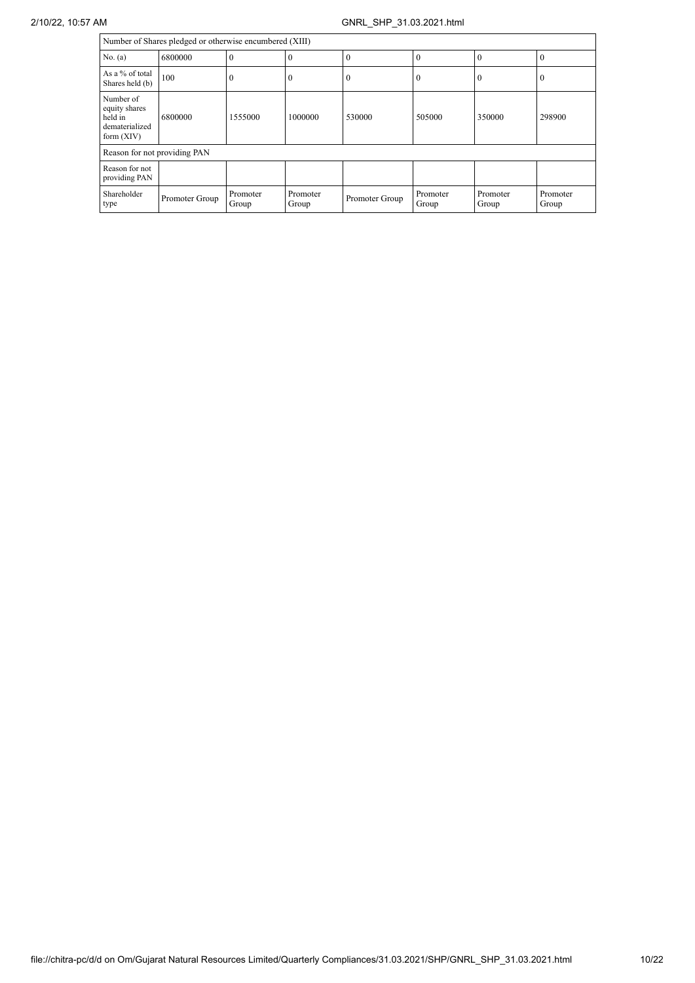| Number of Shares pledged or otherwise encumbered (XIII)                 |                |                   |                   |                |                   |                   |                   |
|-------------------------------------------------------------------------|----------------|-------------------|-------------------|----------------|-------------------|-------------------|-------------------|
| No. (a)                                                                 | 6800000        | 0                 | $\mathbf{0}$      |                | $\theta$          | $\theta$          | 0                 |
| As a % of total<br>Shares held (b)                                      | 100            | $\theta$          | $\mathbf{0}$      |                | $\Omega$          | $\theta$          | U                 |
| Number of<br>equity shares<br>held in<br>dematerialized<br>form $(XIV)$ | 6800000        | 1555000           | 1000000           | 530000         | 505000            | 350000            | 298900            |
| Reason for not providing PAN                                            |                |                   |                   |                |                   |                   |                   |
| Reason for not<br>providing PAN                                         |                |                   |                   |                |                   |                   |                   |
| Shareholder<br>type                                                     | Promoter Group | Promoter<br>Group | Promoter<br>Group | Promoter Group | Promoter<br>Group | Promoter<br>Group | Promoter<br>Group |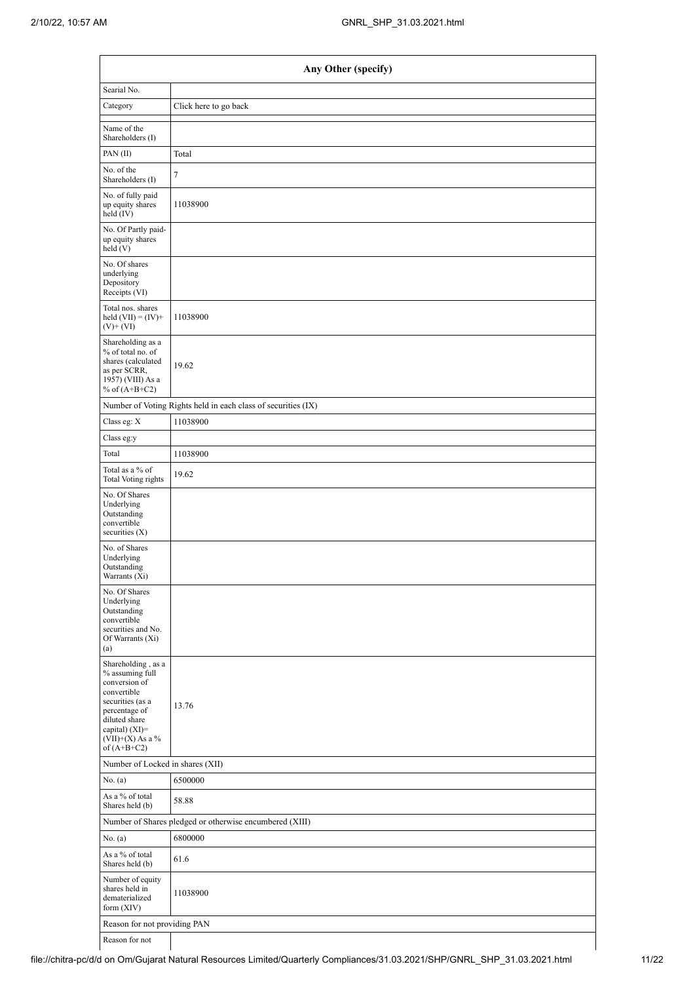|                                                                                                                                                                                      | Any Other (specify)                                           |  |  |  |  |  |  |
|--------------------------------------------------------------------------------------------------------------------------------------------------------------------------------------|---------------------------------------------------------------|--|--|--|--|--|--|
| Searial No.                                                                                                                                                                          |                                                               |  |  |  |  |  |  |
| Category                                                                                                                                                                             | Click here to go back                                         |  |  |  |  |  |  |
| Name of the<br>Shareholders (I)                                                                                                                                                      |                                                               |  |  |  |  |  |  |
| PAN(II)                                                                                                                                                                              | Total                                                         |  |  |  |  |  |  |
| No. of the<br>Shareholders (I)                                                                                                                                                       | 7                                                             |  |  |  |  |  |  |
| No. of fully paid<br>up equity shares<br>held (IV)                                                                                                                                   | 11038900                                                      |  |  |  |  |  |  |
| No. Of Partly paid-<br>up equity shares<br>$\text{held}$ (V)                                                                                                                         |                                                               |  |  |  |  |  |  |
| No. Of shares<br>underlying<br>Depository<br>Receipts (VI)                                                                                                                           |                                                               |  |  |  |  |  |  |
| Total nos. shares<br>held $(VII) = (IV) +$<br>$(V)$ + $(VI)$                                                                                                                         | 11038900                                                      |  |  |  |  |  |  |
| Shareholding as a<br>% of total no. of<br>shares (calculated<br>as per SCRR,<br>1957) (VIII) As a<br>% of $(A+B+C2)$                                                                 | 19.62                                                         |  |  |  |  |  |  |
|                                                                                                                                                                                      | Number of Voting Rights held in each class of securities (IX) |  |  |  |  |  |  |
| Class eg: X                                                                                                                                                                          | 11038900                                                      |  |  |  |  |  |  |
| Class eg:y                                                                                                                                                                           |                                                               |  |  |  |  |  |  |
| Total                                                                                                                                                                                | 11038900                                                      |  |  |  |  |  |  |
| Total as a $\%$ of<br><b>Total Voting rights</b>                                                                                                                                     | 19.62                                                         |  |  |  |  |  |  |
| No. Of Shares<br>Underlying<br>Outstanding<br>convertible<br>securities $(X)$                                                                                                        |                                                               |  |  |  |  |  |  |
| No. of Shares<br>Underlying<br>Outstanding<br>Warrants (Xi)                                                                                                                          |                                                               |  |  |  |  |  |  |
| No. Of Shares<br>Underlying<br>Outstanding<br>convertible<br>securities and No.<br>Of Warrants (Xi)<br>(a)                                                                           |                                                               |  |  |  |  |  |  |
| Shareholding, as a<br>% assuming full<br>conversion of<br>convertible<br>securities (as a<br>percentage of<br>diluted share<br>capital) (XI)=<br>$(VII)+(X)$ As a %<br>of $(A+B+C2)$ | 13.76                                                         |  |  |  |  |  |  |
| Number of Locked in shares (XII)                                                                                                                                                     |                                                               |  |  |  |  |  |  |
| No. (a)                                                                                                                                                                              | 6500000                                                       |  |  |  |  |  |  |
| As a % of total<br>Shares held (b)                                                                                                                                                   | 58.88                                                         |  |  |  |  |  |  |
|                                                                                                                                                                                      | Number of Shares pledged or otherwise encumbered (XIII)       |  |  |  |  |  |  |
| No. (a)                                                                                                                                                                              | 6800000                                                       |  |  |  |  |  |  |
| As a % of total<br>Shares held (b)                                                                                                                                                   | 61.6                                                          |  |  |  |  |  |  |
| Number of equity<br>shares held in<br>dematerialized<br>form $(XIV)$                                                                                                                 | 11038900                                                      |  |  |  |  |  |  |
| Reason for not providing PAN                                                                                                                                                         |                                                               |  |  |  |  |  |  |
| Reason for not                                                                                                                                                                       |                                                               |  |  |  |  |  |  |

Reason for not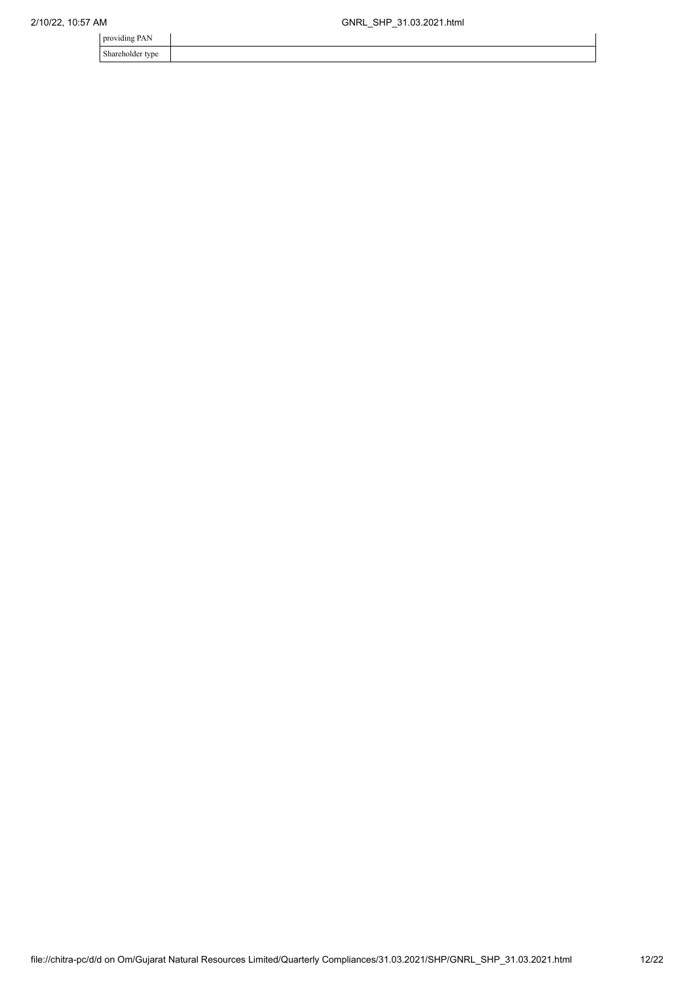| providing PAN    |  |
|------------------|--|
| Shareholder type |  |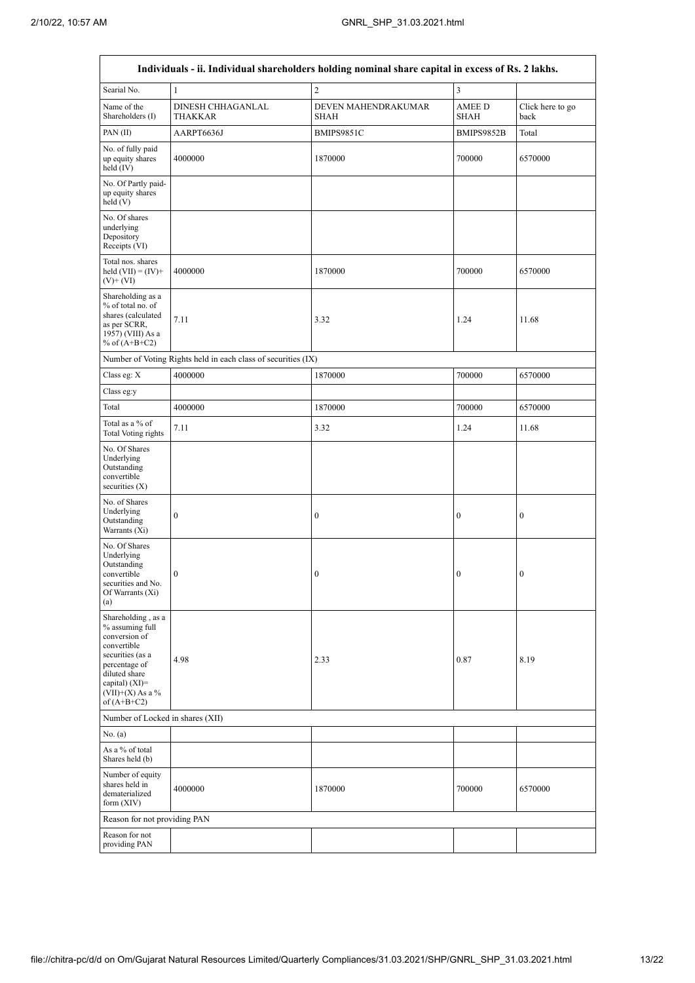|                                                                                                                                                                                        |                                                               | Individuals - ii. Individual shareholders holding nominal share capital in excess of Rs. 2 lakhs. |                              |                          |
|----------------------------------------------------------------------------------------------------------------------------------------------------------------------------------------|---------------------------------------------------------------|---------------------------------------------------------------------------------------------------|------------------------------|--------------------------|
| Searial No.                                                                                                                                                                            | $\mathbf{1}$                                                  | $\overline{c}$                                                                                    | 3                            |                          |
| Name of the<br>Shareholders (I)                                                                                                                                                        | DINESH CHHAGANLAL<br>THAKKAR                                  | DEVEN MAHENDRAKUMAR<br>SHAH                                                                       | <b>AMEE D</b><br><b>SHAH</b> | Click here to go<br>back |
| PAN(II)                                                                                                                                                                                | AARPT6636J                                                    | BMIPS9851C                                                                                        | BMIPS9852B                   | Total                    |
| No. of fully paid<br>up equity shares<br>held (IV)                                                                                                                                     | 4000000                                                       | 1870000                                                                                           | 700000                       | 6570000                  |
| No. Of Partly paid-<br>up equity shares<br>held (V)                                                                                                                                    |                                                               |                                                                                                   |                              |                          |
| No. Of shares<br>underlying<br>Depository<br>Receipts (VI)                                                                                                                             |                                                               |                                                                                                   |                              |                          |
| Total nos. shares<br>held $(VII) = (IV) +$<br>$(V)$ + $(VI)$                                                                                                                           | 4000000                                                       | 1870000                                                                                           | 700000                       | 6570000                  |
| Shareholding as a<br>% of total no. of<br>shares (calculated<br>as per SCRR,<br>1957) (VIII) As a<br>% of $(A+B+C2)$                                                                   | 7.11                                                          | 3.32                                                                                              | 1.24                         | 11.68                    |
|                                                                                                                                                                                        | Number of Voting Rights held in each class of securities (IX) |                                                                                                   |                              |                          |
| Class eg: X                                                                                                                                                                            | 4000000                                                       | 1870000                                                                                           | 700000                       | 6570000                  |
| Class eg:y                                                                                                                                                                             |                                                               |                                                                                                   |                              |                          |
| Total                                                                                                                                                                                  | 4000000                                                       | 1870000                                                                                           | 700000                       | 6570000                  |
| Total as a % of<br>Total Voting rights                                                                                                                                                 | 7.11                                                          | 3.32                                                                                              | 1.24                         | 11.68                    |
| No. Of Shares<br>Underlying<br>Outstanding<br>convertible<br>securities $(X)$                                                                                                          |                                                               |                                                                                                   |                              |                          |
| No. of Shares<br>Underlying<br>Outstanding<br>Warrants (Xi)                                                                                                                            | $\boldsymbol{0}$                                              | $\boldsymbol{0}$                                                                                  | 0                            | $\boldsymbol{0}$         |
| No. Of Shares<br>Underlying<br>Outstanding<br>convertible<br>securities and No.<br>Of Warrants (Xi)<br>(a)                                                                             | $\theta$                                                      | $\Omega$                                                                                          | $\Omega$                     | $\theta$                 |
| Shareholding, as a<br>% assuming full<br>conversion of<br>convertible<br>securities (as a<br>percentage of<br>diluted share<br>capital) $(XI)=$<br>$(VII)+(X)$ As a %<br>of $(A+B+C2)$ | 4.98                                                          | 2.33                                                                                              | 0.87                         | 8.19                     |
| Number of Locked in shares (XII)                                                                                                                                                       |                                                               |                                                                                                   |                              |                          |
| No. $(a)$                                                                                                                                                                              |                                                               |                                                                                                   |                              |                          |
| As a % of total<br>Shares held (b)                                                                                                                                                     |                                                               |                                                                                                   |                              |                          |
| Number of equity<br>shares held in<br>dematerialized<br>form (XIV)                                                                                                                     | 4000000                                                       | 1870000                                                                                           | 700000                       | 6570000                  |
| Reason for not providing PAN                                                                                                                                                           |                                                               |                                                                                                   |                              |                          |
| Reason for not<br>providing PAN                                                                                                                                                        |                                                               |                                                                                                   |                              |                          |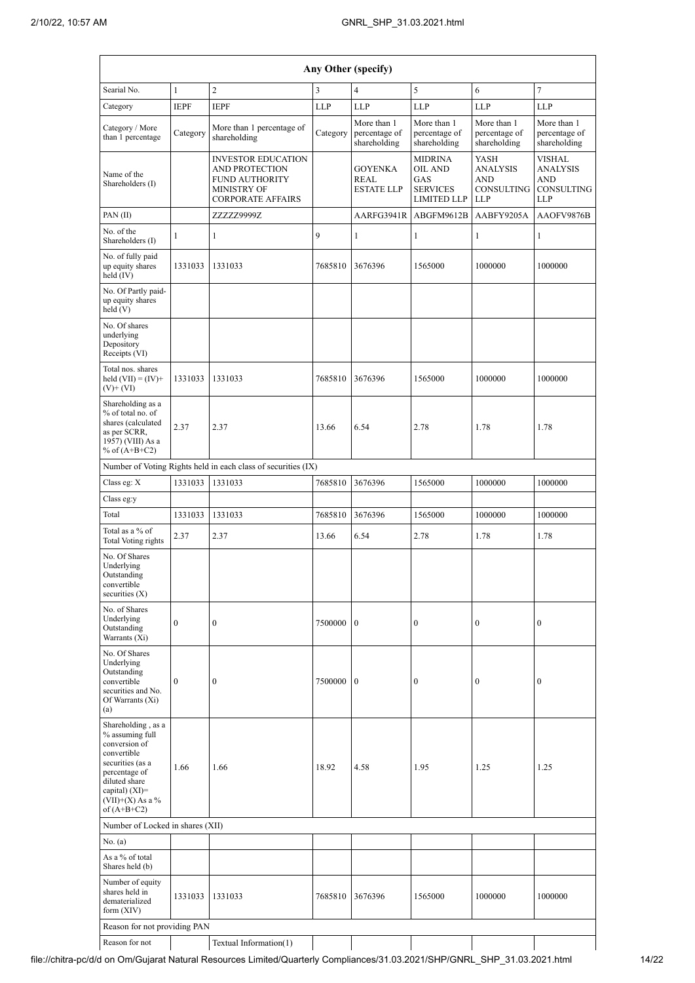|                                                                                                                                                                                                        | Any Other (specify) |                                                                                                                               |            |                                              |                                                                           |                                                                   |                                                                            |  |  |  |  |  |
|--------------------------------------------------------------------------------------------------------------------------------------------------------------------------------------------------------|---------------------|-------------------------------------------------------------------------------------------------------------------------------|------------|----------------------------------------------|---------------------------------------------------------------------------|-------------------------------------------------------------------|----------------------------------------------------------------------------|--|--|--|--|--|
| Searial No.                                                                                                                                                                                            | $\mathbf{1}$        | $\overline{c}$                                                                                                                | 3          | $\overline{4}$                               | 5                                                                         | 6                                                                 | 7                                                                          |  |  |  |  |  |
| Category                                                                                                                                                                                               | <b>IEPF</b>         | <b>IEPF</b>                                                                                                                   | <b>LLP</b> | <b>LLP</b>                                   | <b>LLP</b>                                                                | <b>LLP</b>                                                        | <b>LLP</b>                                                                 |  |  |  |  |  |
| Category / More<br>than 1 percentage                                                                                                                                                                   | Category            | More than 1 percentage of<br>shareholding                                                                                     | Category   | More than 1<br>percentage of<br>shareholding | More than 1<br>percentage of<br>shareholding                              | More than 1<br>percentage of<br>shareholding                      | More than 1<br>percentage of<br>shareholding                               |  |  |  |  |  |
| Name of the<br>Shareholders (I)                                                                                                                                                                        |                     | <b>INVESTOR EDUCATION</b><br><b>AND PROTECTION</b><br><b>FUND AUTHORITY</b><br><b>MINISTRY OF</b><br><b>CORPORATE AFFAIRS</b> |            | <b>GOYENKA</b><br>REAL<br><b>ESTATE LLP</b>  | <b>MIDRINA</b><br>OIL AND<br>GAS<br><b>SERVICES</b><br><b>LIMITED LLP</b> | YASH<br><b>ANALYSIS</b><br><b>AND</b><br>CONSULTING<br><b>LLP</b> | <b>VISHAL</b><br><b>ANALYSIS</b><br><b>AND</b><br>CONSULTING<br><b>LLP</b> |  |  |  |  |  |
| PAN(II)                                                                                                                                                                                                |                     | ZZZZZ9999Z                                                                                                                    |            | AARFG3941R                                   | ABGFM9612B                                                                | AABFY9205A                                                        | AAOFV9876B                                                                 |  |  |  |  |  |
| No. of the<br>Shareholders (I)                                                                                                                                                                         | $\mathbf{1}$        | 1                                                                                                                             | 9          | $\mathbf{1}$                                 | $\mathbf{1}$                                                              | $\mathbf{1}$                                                      | 1                                                                          |  |  |  |  |  |
| No. of fully paid<br>up equity shares<br>held (IV)                                                                                                                                                     | 1331033             | 1331033                                                                                                                       | 7685810    | 3676396                                      | 1565000                                                                   | 1000000                                                           | 1000000                                                                    |  |  |  |  |  |
| No. Of Partly paid-<br>up equity shares<br>held $(V)$                                                                                                                                                  |                     |                                                                                                                               |            |                                              |                                                                           |                                                                   |                                                                            |  |  |  |  |  |
| No. Of shares<br>underlying<br>Depository<br>Receipts (VI)                                                                                                                                             |                     |                                                                                                                               |            |                                              |                                                                           |                                                                   |                                                                            |  |  |  |  |  |
| Total nos. shares<br>held $(VII) = (IV) +$<br>$(V)$ + $(VI)$                                                                                                                                           | 1331033             | 1331033                                                                                                                       | 7685810    | 3676396                                      | 1565000                                                                   | 1000000                                                           | 1000000                                                                    |  |  |  |  |  |
| Shareholding as a<br>% of total no. of<br>shares (calculated<br>2.37<br>as per SCRR,<br>1957) (VIII) As a<br>% of $(A+B+C2)$                                                                           |                     | 2.37                                                                                                                          | 13.66      | 6.54                                         | 2.78                                                                      | 1.78                                                              | 1.78                                                                       |  |  |  |  |  |
|                                                                                                                                                                                                        |                     | Number of Voting Rights held in each class of securities (IX)                                                                 |            |                                              |                                                                           |                                                                   |                                                                            |  |  |  |  |  |
| Class eg: X                                                                                                                                                                                            | 1331033             | 1331033                                                                                                                       | 7685810    | 3676396                                      | 1565000                                                                   | 1000000                                                           | 1000000                                                                    |  |  |  |  |  |
| Class eg:y                                                                                                                                                                                             |                     |                                                                                                                               |            |                                              |                                                                           |                                                                   |                                                                            |  |  |  |  |  |
| Total                                                                                                                                                                                                  | 1331033             | 1331033                                                                                                                       | 7685810    | 3676396                                      | 1565000                                                                   | 1000000                                                           | 1000000                                                                    |  |  |  |  |  |
| Total as a % of<br>Total Voting rights                                                                                                                                                                 | 2.37                | 2.37                                                                                                                          | 13.66      | 6.54                                         | 2.78                                                                      | 1.78                                                              | 1.78                                                                       |  |  |  |  |  |
| No. Of Shares<br>Underlying<br>Outstanding<br>convertible<br>securities (X)                                                                                                                            |                     |                                                                                                                               |            |                                              |                                                                           |                                                                   |                                                                            |  |  |  |  |  |
| No. of Shares<br>Underlying<br>Outstanding<br>Warrants (Xi)                                                                                                                                            | $\mathbf{0}$        | $\boldsymbol{0}$                                                                                                              | 7500000    | $\mathbf{0}$                                 | $\boldsymbol{0}$                                                          | $\mathbf{0}$                                                      | $\boldsymbol{0}$                                                           |  |  |  |  |  |
| No. Of Shares<br>Underlying<br>Outstanding<br>convertible<br>securities and No.<br>Of Warrants (Xi)<br>(a)                                                                                             | $\mathbf{0}$        | $\boldsymbol{0}$                                                                                                              | 7500000    | $\mathbf{0}$                                 | $\mathbf{0}$                                                              | $\boldsymbol{0}$                                                  | $\mathbf{0}$                                                               |  |  |  |  |  |
| Shareholding, as a<br>% assuming full<br>conversion of<br>convertible<br>securities (as a<br>1.66<br>1.66<br>percentage of<br>diluted share<br>capital) $(XI)=$<br>$(VII)+(X)$ As a %<br>of $(A+B+C2)$ |                     |                                                                                                                               | 18.92      | 4.58                                         | 1.95                                                                      | 1.25                                                              | 1.25                                                                       |  |  |  |  |  |
| Number of Locked in shares (XII)                                                                                                                                                                       |                     |                                                                                                                               |            |                                              |                                                                           |                                                                   |                                                                            |  |  |  |  |  |
| No. (a)                                                                                                                                                                                                |                     |                                                                                                                               |            |                                              |                                                                           |                                                                   |                                                                            |  |  |  |  |  |
| As a % of total<br>Shares held (b)                                                                                                                                                                     |                     |                                                                                                                               |            |                                              |                                                                           |                                                                   |                                                                            |  |  |  |  |  |
| Number of equity<br>shares held in<br>dematerialized<br>form (XIV)                                                                                                                                     | 1331033             | 1331033                                                                                                                       | 7685810    | 3676396                                      | 1565000                                                                   | 1000000                                                           | 1000000                                                                    |  |  |  |  |  |
| Reason for not providing PAN                                                                                                                                                                           |                     |                                                                                                                               |            |                                              |                                                                           |                                                                   |                                                                            |  |  |  |  |  |
| Reason for not                                                                                                                                                                                         |                     | Textual Information(1)                                                                                                        |            |                                              |                                                                           |                                                                   |                                                                            |  |  |  |  |  |

file://chitra-pc/d/d on Om/Gujarat Natural Resources Limited/Quarterly Compliances/31.03.2021/SHP/GNRL\_SHP\_31.03.2021.html 14/22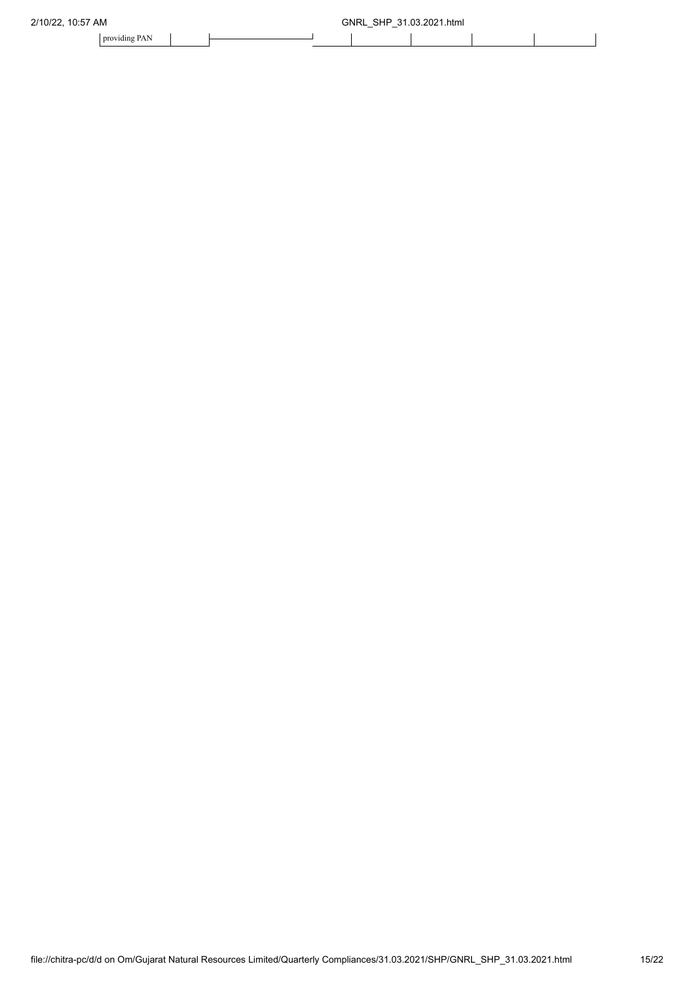| 2/10/22.<br>10:57 AM |  |  |  | gnrl<br><b>SHP</b><br>-21 | .03.2021.html |  |  |
|----------------------|--|--|--|---------------------------|---------------|--|--|
| providing PAN        |  |  |  |                           |               |  |  |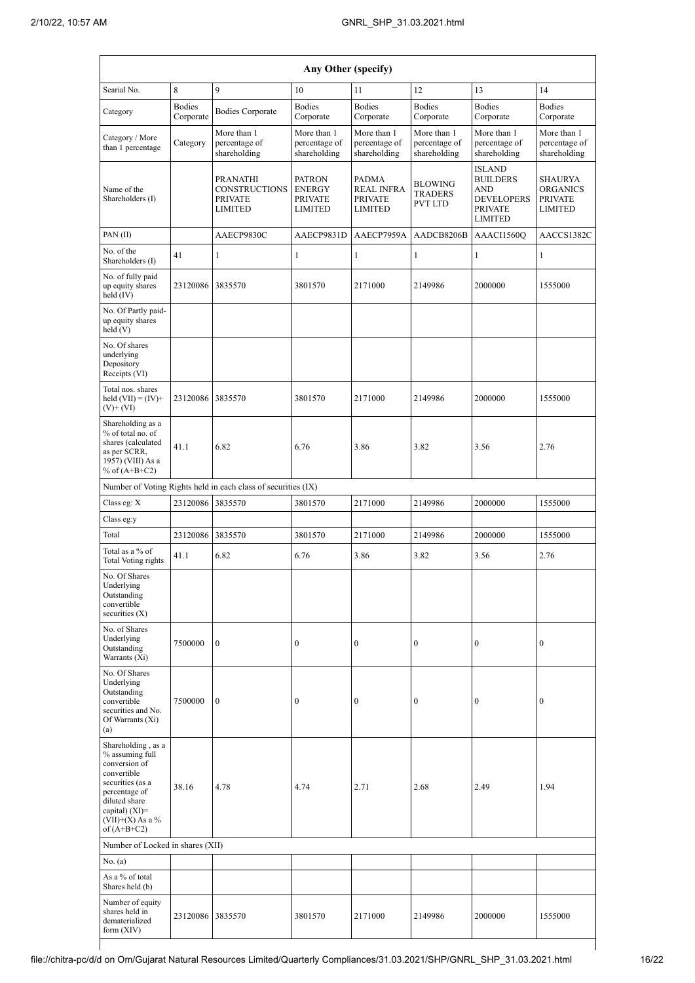|                                                                                                                                                                                        |                            |                                                                             | Any Other (specify)                                                |                                                                       |                                                    |                                                                                                         |                                                                       |
|----------------------------------------------------------------------------------------------------------------------------------------------------------------------------------------|----------------------------|-----------------------------------------------------------------------------|--------------------------------------------------------------------|-----------------------------------------------------------------------|----------------------------------------------------|---------------------------------------------------------------------------------------------------------|-----------------------------------------------------------------------|
| Searial No.                                                                                                                                                                            | 8                          | 9                                                                           | 10                                                                 | 11                                                                    | 12                                                 | 13                                                                                                      | 14                                                                    |
| Category                                                                                                                                                                               | <b>Bodies</b><br>Corporate | <b>Bodies Corporate</b>                                                     | <b>Bodies</b><br>Corporate                                         | <b>Bodies</b><br>Corporate                                            | <b>Bodies</b><br>Corporate                         | <b>Bodies</b><br>Corporate                                                                              | <b>Bodies</b><br>Corporate                                            |
| Category / More<br>than 1 percentage                                                                                                                                                   | Category                   | More than 1<br>percentage of<br>shareholding                                | More than 1<br>percentage of<br>shareholding                       | More than 1<br>percentage of<br>shareholding                          | More than 1<br>percentage of<br>shareholding       | More than 1<br>percentage of<br>shareholding                                                            | More than 1<br>percentage of<br>shareholding                          |
| Name of the<br>Shareholders (I)                                                                                                                                                        |                            | <b>PRANATHI</b><br><b>CONSTRUCTIONS</b><br><b>PRIVATE</b><br><b>LIMITED</b> | <b>PATRON</b><br><b>ENERGY</b><br><b>PRIVATE</b><br><b>LIMITED</b> | <b>PADMA</b><br><b>REAL INFRA</b><br><b>PRIVATE</b><br><b>LIMITED</b> | <b>BLOWING</b><br><b>TRADERS</b><br><b>PVT LTD</b> | <b>ISLAND</b><br><b>BUILDERS</b><br><b>AND</b><br><b>DEVELOPERS</b><br><b>PRIVATE</b><br><b>LIMITED</b> | <b>SHAURYA</b><br><b>ORGANICS</b><br><b>PRIVATE</b><br><b>LIMITED</b> |
| PAN(II)                                                                                                                                                                                |                            | AAECP9830C                                                                  | AAECP9831D                                                         | AAECP7959A                                                            | AADCB8206B                                         | AAACI1560Q                                                                                              | AACCS1382C                                                            |
| No. of the<br>Shareholders (I)                                                                                                                                                         | 41                         | $\mathbf{1}$                                                                | 1                                                                  | 1                                                                     | 1                                                  | 1                                                                                                       | 1                                                                     |
| No. of fully paid<br>up equity shares<br>held (IV)                                                                                                                                     | 23120086                   | 3835570                                                                     | 3801570                                                            | 2171000                                                               | 2149986                                            | 2000000                                                                                                 | 1555000                                                               |
| No. Of Partly paid-<br>up equity shares<br>held (V)                                                                                                                                    |                            |                                                                             |                                                                    |                                                                       |                                                    |                                                                                                         |                                                                       |
| No. Of shares<br>underlying<br>Depository<br>Receipts (VI)                                                                                                                             |                            |                                                                             |                                                                    |                                                                       |                                                    |                                                                                                         |                                                                       |
| Total nos, shares<br>held $(VII) = (IV) +$<br>$(V)$ + $(VI)$                                                                                                                           | 23120086                   | 3835570                                                                     | 3801570                                                            | 2171000                                                               | 2149986                                            | 2000000                                                                                                 | 1555000                                                               |
| Shareholding as a<br>% of total no. of<br>shares (calculated<br>as per SCRR,<br>1957) (VIII) As a<br>% of $(A+B+C2)$                                                                   | 41.1                       | 6.82                                                                        | 6.76                                                               | 3.86                                                                  | 3.82                                               | 3.56                                                                                                    | 2.76                                                                  |
|                                                                                                                                                                                        |                            | Number of Voting Rights held in each class of securities (IX)               |                                                                    |                                                                       |                                                    |                                                                                                         |                                                                       |
| Class eg: X                                                                                                                                                                            | 23120086                   | 3835570                                                                     | 3801570                                                            | 2171000                                                               | 2149986                                            | 2000000                                                                                                 | 1555000                                                               |
| Class eg:y<br>Total                                                                                                                                                                    | 23120086                   | 3835570                                                                     | 3801570                                                            | 2171000                                                               | 2149986                                            | 2000000                                                                                                 |                                                                       |
| Total as a % of                                                                                                                                                                        | 41.1                       | 6.82                                                                        | 6.76                                                               | 3.86                                                                  | 3.82                                               | 3.56                                                                                                    | 1555000<br>2.76                                                       |
| <b>Total Voting rights</b><br>No. Of Shares<br>Underlying<br>Outstanding<br>convertible<br>securities $(X)$                                                                            |                            |                                                                             |                                                                    |                                                                       |                                                    |                                                                                                         |                                                                       |
| No. of Shares<br>Underlying<br>Outstanding<br>Warrants (Xi)                                                                                                                            | 7500000                    | $\mathbf{0}$                                                                | $\boldsymbol{0}$                                                   | $\boldsymbol{0}$                                                      | $\boldsymbol{0}$                                   | $\boldsymbol{0}$                                                                                        | $\boldsymbol{0}$                                                      |
| No. Of Shares<br>Underlying<br>Outstanding<br>convertible<br>securities and No.<br>Of Warrants (Xi)<br>(a)                                                                             | 7500000                    | $\mathbf{0}$                                                                | $\mathbf{0}$                                                       | $\mathbf{0}$                                                          | $\mathbf{0}$                                       | $\mathbf{0}$                                                                                            | $\mathbf{0}$                                                          |
| Shareholding, as a<br>% assuming full<br>conversion of<br>convertible<br>securities (as a<br>percentage of<br>diluted share<br>capital) $(XI)=$<br>$(VII)+(X)$ As a %<br>of $(A+B+C2)$ | 38.16                      | 4.78                                                                        | 4.74                                                               | 2.71                                                                  | 2.68                                               | 2.49                                                                                                    | 1.94                                                                  |
| Number of Locked in shares (XII)                                                                                                                                                       |                            |                                                                             |                                                                    |                                                                       |                                                    |                                                                                                         |                                                                       |
| No. (a)<br>As a % of total                                                                                                                                                             |                            |                                                                             |                                                                    |                                                                       |                                                    |                                                                                                         |                                                                       |
| Shares held (b)                                                                                                                                                                        |                            |                                                                             |                                                                    |                                                                       |                                                    |                                                                                                         |                                                                       |
| Number of equity<br>shares held in<br>dematerialized<br>form $(XIV)$                                                                                                                   | 23120086 3835570           |                                                                             | 3801570                                                            | 2171000                                                               | 2149986                                            | 2000000                                                                                                 | 1555000                                                               |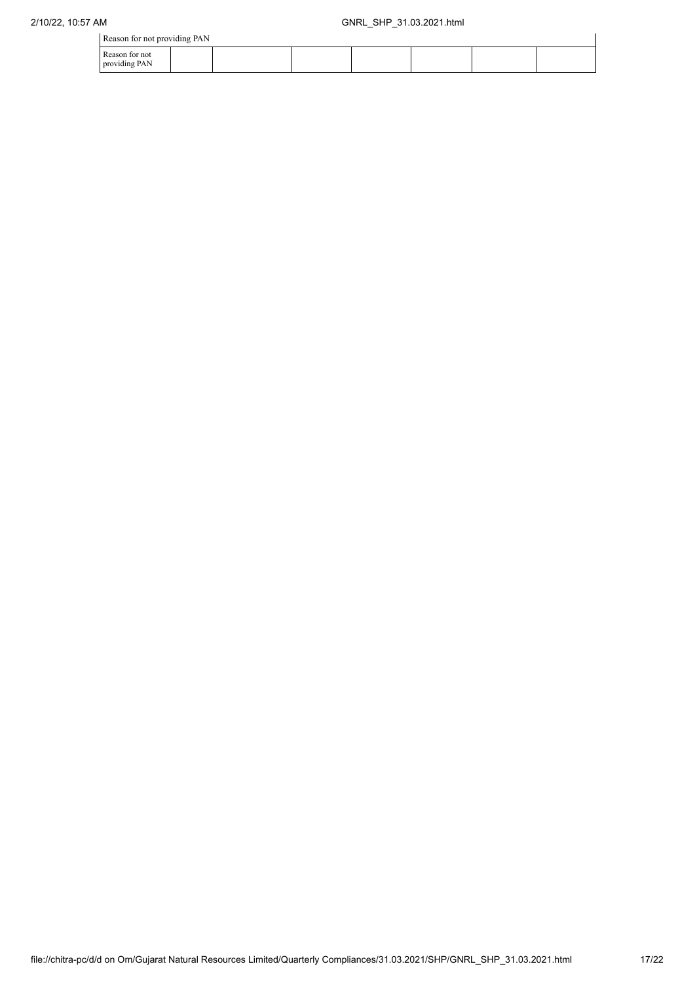| Reason for not providing PAN |  |
|------------------------------|--|
|------------------------------|--|

|                                 | Reason for not providing PAN |  |  |  |  |  |  |  |  |  |
|---------------------------------|------------------------------|--|--|--|--|--|--|--|--|--|
| Reason for not<br>providing PAN |                              |  |  |  |  |  |  |  |  |  |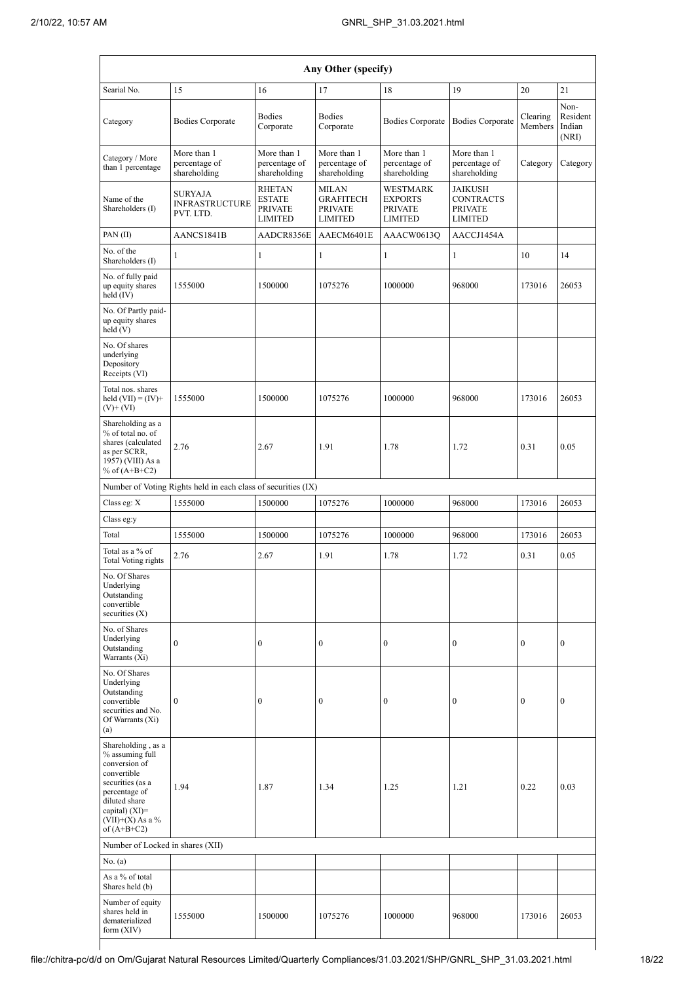|                                                                                                                                                                                        | Any Other (specify)                                           |                                                                    |                                                                      |                                                                |                                                                        |                     |                                     |  |  |  |  |  |
|----------------------------------------------------------------------------------------------------------------------------------------------------------------------------------------|---------------------------------------------------------------|--------------------------------------------------------------------|----------------------------------------------------------------------|----------------------------------------------------------------|------------------------------------------------------------------------|---------------------|-------------------------------------|--|--|--|--|--|
| Searial No.                                                                                                                                                                            | 15                                                            | 16                                                                 | 17                                                                   | 18                                                             | 19                                                                     | 20                  | 21                                  |  |  |  |  |  |
| Category                                                                                                                                                                               | <b>Bodies Corporate</b>                                       | <b>Bodies</b><br>Corporate                                         | <b>Bodies</b><br>Corporate                                           | <b>Bodies Corporate</b>                                        | <b>Bodies Corporate</b>                                                | Clearing<br>Members | Non-<br>Resident<br>Indian<br>(NRI) |  |  |  |  |  |
| Category / More<br>than 1 percentage                                                                                                                                                   | More than 1<br>percentage of<br>shareholding                  | More than 1<br>percentage of<br>shareholding                       | More than 1<br>percentage of<br>shareholding                         | More than 1<br>percentage of<br>shareholding                   | More than 1<br>percentage of<br>shareholding                           | Category            | Category                            |  |  |  |  |  |
| Name of the<br>Shareholders (I)                                                                                                                                                        | <b>SURYAJA</b><br><b>INFRASTRUCTURE</b><br>PVT. LTD.          | <b>RHETAN</b><br><b>ESTATE</b><br><b>PRIVATE</b><br><b>LIMITED</b> | <b>MILAN</b><br><b>GRAFITECH</b><br><b>PRIVATE</b><br><b>LIMITED</b> | WESTMARK<br><b>EXPORTS</b><br><b>PRIVATE</b><br><b>LIMITED</b> | <b>JAIKUSH</b><br><b>CONTRACTS</b><br><b>PRIVATE</b><br><b>LIMITED</b> |                     |                                     |  |  |  |  |  |
| PAN(II)                                                                                                                                                                                | AANCS1841B                                                    | AADCR8356E                                                         | AAECM6401E                                                           | AAACW0613Q                                                     | AACCJ1454A                                                             |                     |                                     |  |  |  |  |  |
| No. of the<br>Shareholders (I)                                                                                                                                                         | 1                                                             | $\mathbf{1}$                                                       | 1                                                                    | 1                                                              | 1                                                                      | 10                  | 14                                  |  |  |  |  |  |
| No. of fully paid<br>up equity shares<br>held (IV)                                                                                                                                     | 1555000                                                       | 1500000                                                            | 1075276                                                              | 1000000                                                        | 968000                                                                 | 173016              | 26053                               |  |  |  |  |  |
| No. Of Partly paid-<br>up equity shares<br>held (V)                                                                                                                                    |                                                               |                                                                    |                                                                      |                                                                |                                                                        |                     |                                     |  |  |  |  |  |
| No. Of shares<br>underlying<br>Depository<br>Receipts (VI)                                                                                                                             |                                                               |                                                                    |                                                                      |                                                                |                                                                        |                     |                                     |  |  |  |  |  |
| Total nos. shares<br>held $(VII) = (IV) +$<br>$(V)$ + $(VI)$                                                                                                                           | 1555000                                                       | 1500000                                                            | 1075276                                                              | 1000000                                                        | 968000                                                                 | 173016              | 26053                               |  |  |  |  |  |
| Shareholding as a<br>% of total no. of<br>shares (calculated<br>as per SCRR,<br>1957) (VIII) As a<br>% of $(A+B+C2)$                                                                   | 2.76                                                          | 2.67                                                               | 1.91                                                                 | 1.78                                                           | 1.72                                                                   | 0.31                | 0.05                                |  |  |  |  |  |
|                                                                                                                                                                                        | Number of Voting Rights held in each class of securities (IX) |                                                                    |                                                                      |                                                                |                                                                        |                     |                                     |  |  |  |  |  |
| Class eg: X                                                                                                                                                                            | 1555000                                                       | 1500000                                                            | 1075276                                                              | 1000000                                                        | 968000                                                                 | 173016              | 26053                               |  |  |  |  |  |
| Class eg:y                                                                                                                                                                             |                                                               |                                                                    |                                                                      |                                                                |                                                                        |                     |                                     |  |  |  |  |  |
| Total<br>Total as a % of                                                                                                                                                               | 1555000<br>2.76                                               | 1500000<br>2.67                                                    | 1075276<br>1.91                                                      | 1000000<br>1.78                                                | 968000<br>1.72                                                         | 173016<br>0.31      | 26053<br>0.05                       |  |  |  |  |  |
| <b>Total Voting rights</b><br>No. Of Shares<br>Underlying<br>Outstanding<br>convertible<br>securities $(X)$                                                                            |                                                               |                                                                    |                                                                      |                                                                |                                                                        |                     |                                     |  |  |  |  |  |
| No. of Shares<br>Underlying<br>Outstanding<br>Warrants (Xi)                                                                                                                            | $\mathbf{0}$                                                  | $\boldsymbol{0}$                                                   | $\mathbf{0}$                                                         | 0                                                              | $\boldsymbol{0}$                                                       | $\mathbf{0}$        | $\mathbf{0}$                        |  |  |  |  |  |
| No. Of Shares<br>Underlying<br>Outstanding<br>convertible<br>securities and No.<br>Of Warrants (Xi)<br>(a)                                                                             | $\mathbf{0}$                                                  | $\boldsymbol{0}$                                                   | $\boldsymbol{0}$                                                     | 0                                                              | $\boldsymbol{0}$                                                       | $\mathbf{0}$        | $\boldsymbol{0}$                    |  |  |  |  |  |
| Shareholding, as a<br>% assuming full<br>conversion of<br>convertible<br>securities (as a<br>percentage of<br>diluted share<br>capital) $(XI)=$<br>$(VII)+(X)$ As a %<br>of $(A+B+C2)$ | 1.94                                                          | 1.87                                                               | 1.34                                                                 | 1.25                                                           | 1.21                                                                   | 0.22                | 0.03                                |  |  |  |  |  |
| Number of Locked in shares (XII)                                                                                                                                                       |                                                               |                                                                    |                                                                      |                                                                |                                                                        |                     |                                     |  |  |  |  |  |
| No. (a)                                                                                                                                                                                |                                                               |                                                                    |                                                                      |                                                                |                                                                        |                     |                                     |  |  |  |  |  |
| As a % of total<br>Shares held (b)                                                                                                                                                     |                                                               |                                                                    |                                                                      |                                                                |                                                                        |                     |                                     |  |  |  |  |  |
| Number of equity<br>shares held in<br>dematerialized<br>form (XIV)                                                                                                                     | 1555000                                                       | 1500000                                                            | 1075276                                                              | 1000000                                                        | 968000                                                                 | 173016              | 26053                               |  |  |  |  |  |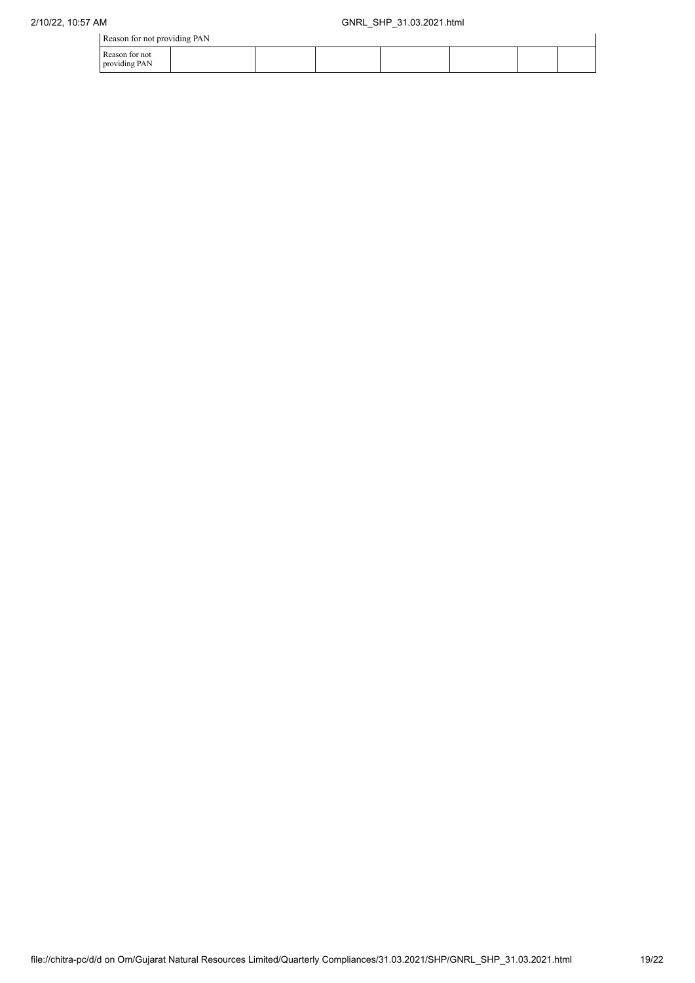Reason for not providing PAN

|               | Reason for not providing PAN<br>Reason for not |  |  |  |  |  |  |  |  |  |  |
|---------------|------------------------------------------------|--|--|--|--|--|--|--|--|--|--|
| providing PAN |                                                |  |  |  |  |  |  |  |  |  |  |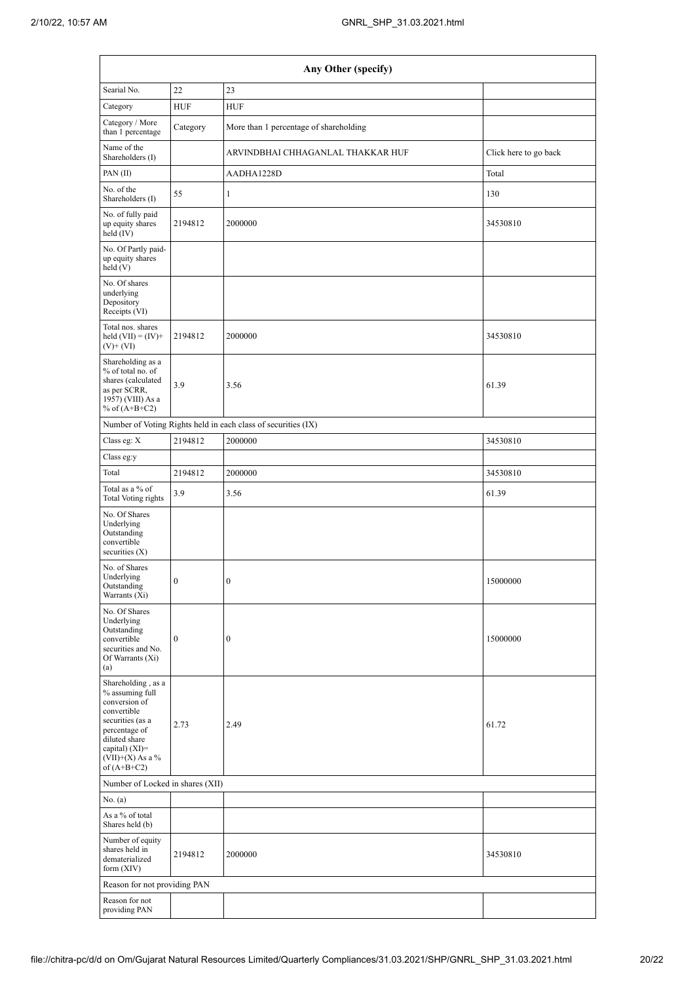|                                                                                                                                                                                        |                  | Any Other (specify)                                           |                       |
|----------------------------------------------------------------------------------------------------------------------------------------------------------------------------------------|------------------|---------------------------------------------------------------|-----------------------|
| Searial No.                                                                                                                                                                            | 22               | 23                                                            |                       |
| Category                                                                                                                                                                               | <b>HUF</b>       | <b>HUF</b>                                                    |                       |
| Category / More<br>than 1 percentage                                                                                                                                                   | Category         | More than 1 percentage of shareholding                        |                       |
| Name of the<br>Shareholders (I)                                                                                                                                                        |                  | ARVINDBHAI CHHAGANLAL THAKKAR HUF                             | Click here to go back |
| PAN(II)                                                                                                                                                                                |                  | AADHA1228D                                                    | Total                 |
| No. of the<br>Shareholders (I)                                                                                                                                                         | 55               | $\mathbf{1}$                                                  | 130                   |
| No. of fully paid<br>up equity shares<br>$held$ (IV)                                                                                                                                   | 2194812          | 2000000                                                       | 34530810              |
| No. Of Partly paid-<br>up equity shares<br>held(V)                                                                                                                                     |                  |                                                               |                       |
| No. Of shares<br>underlying<br>Depository<br>Receipts (VI)                                                                                                                             |                  |                                                               |                       |
| Total nos. shares<br>held $(VII) = (IV) +$<br>$(V)$ + $(VI)$                                                                                                                           | 2194812          | 2000000                                                       | 34530810              |
| Shareholding as a<br>% of total no. of<br>shares (calculated<br>as per SCRR,<br>1957) (VIII) As a<br>% of $(A+B+C2)$                                                                   | 3.9              | 3.56                                                          | 61.39                 |
|                                                                                                                                                                                        |                  | Number of Voting Rights held in each class of securities (IX) |                       |
| Class eg: X                                                                                                                                                                            | 2194812          | 2000000                                                       | 34530810              |
| Class eg:y                                                                                                                                                                             |                  |                                                               |                       |
| Total                                                                                                                                                                                  | 2194812          | 2000000                                                       | 34530810              |
| Total as a % of<br>Total Voting rights                                                                                                                                                 | 3.9              | 3.56                                                          | 61.39                 |
| No. Of Shares<br>Underlying<br>Outstanding<br>convertible<br>securities (X)                                                                                                            |                  |                                                               |                       |
| No. of Shares<br>Underlying<br>Outstanding<br>Warrants (Xi)                                                                                                                            | $\bf{0}$         | $\bf{0}$                                                      | 15000000              |
| No. Of Shares<br>Underlying<br>Outstanding<br>convertible<br>securities and No.<br>Of Warrants (Xi)<br>(a)                                                                             | $\boldsymbol{0}$ | $\boldsymbol{0}$                                              | 15000000              |
| Shareholding, as a<br>% assuming full<br>conversion of<br>convertible<br>securities (as a<br>percentage of<br>diluted share<br>capital) $(XI)=$<br>$(VII)+(X)$ As a %<br>of $(A+B+C2)$ | 2.73             | 2.49                                                          | 61.72                 |
| Number of Locked in shares (XII)                                                                                                                                                       |                  |                                                               |                       |
| No. (a)                                                                                                                                                                                |                  |                                                               |                       |
| As a % of total<br>Shares held (b)                                                                                                                                                     |                  |                                                               |                       |
| Number of equity<br>shares held in<br>dematerialized<br>form $(XIV)$                                                                                                                   | 2194812          | 2000000                                                       | 34530810              |
| Reason for not providing PAN                                                                                                                                                           |                  |                                                               |                       |
| Reason for not<br>providing PAN                                                                                                                                                        |                  |                                                               |                       |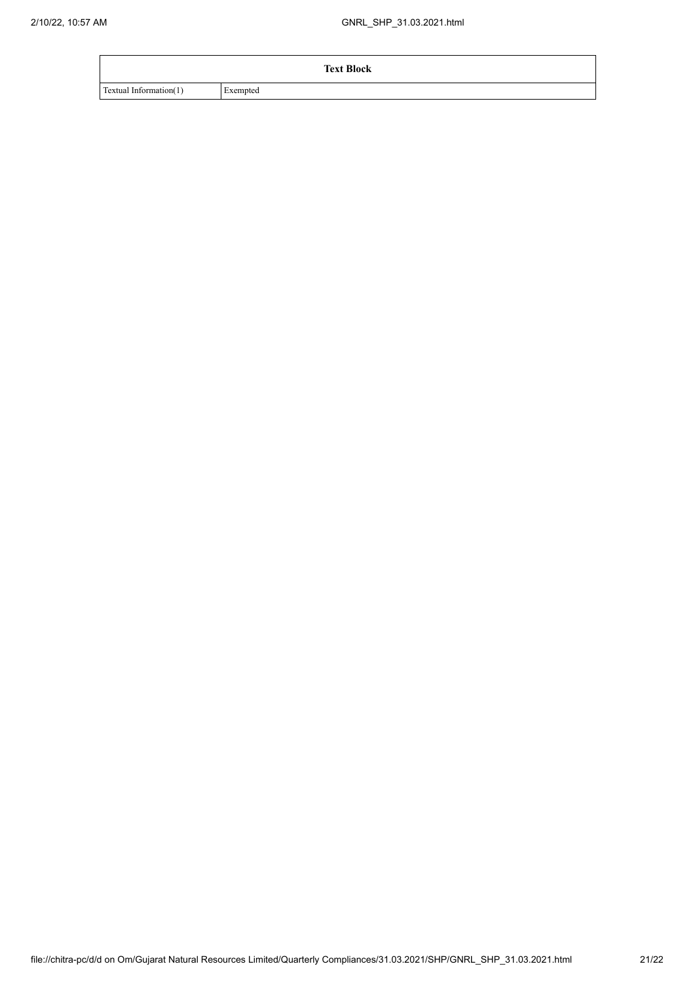|                        | <b>Text Block</b> |
|------------------------|-------------------|
| Textual Information(1) | Exempted          |